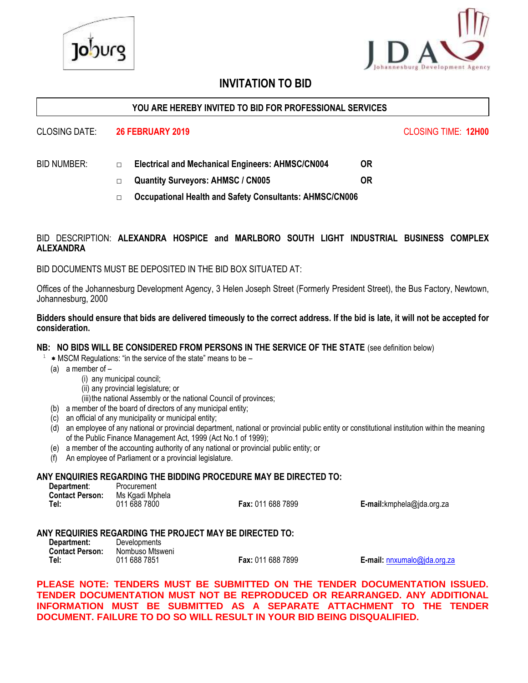

# **INVITATION TO BID**

#### **YOU ARE HEREBY INVITED TO BID FOR PROFESSIONAL SERVICES**

#### CLOSING DATE: **26 FEBRUARY 2019** CLOSING TIME: **12H00**

- BID NUMBER: □ **Electrical and Mechanical Engineers: AHMSC/CN004 OR**
	- □ **Quantity Surveyors: AHMSC / CN005 OR**
	- □ **Occupational Health and Safety Consultants: AHMSC/CN006**

#### BID DESCRIPTION: **ALEXANDRA HOSPICE and MARLBORO SOUTH LIGHT INDUSTRIAL BUSINESS COMPLEX ALEXANDRA**

BID DOCUMENTS MUST BE DEPOSITED IN THE BID BOX SITUATED AT:

Offices of the Johannesburg Development Agency, 3 Helen Joseph Street (Formerly President Street), the Bus Factory, Newtown, Johannesburg, 2000

#### **Bidders should ensure that bids are delivered timeously to the correct address. If the bid is late, it will not be accepted for consideration.**

#### **NB: NO BIDS WILL BE CONSIDERED FROM PERSONS IN THE SERVICE OF THE STATE** (see definition below)

- 1 MSCM Regulations: "in the service of the state" means to be –
	- (a) a member of
		- (i) any municipal council;
		- (ii) any provincial legislature; or
		- (iii) the national Assembly or the national Council of provinces;
	- (b) a member of the board of directors of any municipal entity;
	- (c) an official of any municipality or municipal entity;
	- (d) an employee of any national or provincial department, national or provincial public entity or constitutional institution within the meaning of the Public Finance Management Act, 1999 (Act No.1 of 1999);
	- (e) a member of the accounting authority of any national or provincial public entity; or
	- (f) An employee of Parliament or a provincial legislature.

#### **ANY ENQUIRIES REGARDING THE BIDDING PROCEDURE MAY BE DIRECTED TO:**

| Department:<br><b>Contact Person:</b> | Procurement<br>Ms Kgadi Mphela |                          |                           |
|---------------------------------------|--------------------------------|--------------------------|---------------------------|
| Tel:                                  | 011 688 7800                   | <b>Fax: 011 688 7899</b> | E-mail:kmphela@jda.org.za |

#### **ANY REQUIRIES REGARDING THE PROJECT MAY BE DIRECTED TO:**

| Department:            | Developments    |
|------------------------|-----------------|
| <b>Contact Person:</b> | Nombuso Mtsweni |
| Tel:                   | 011 688 7851    |

**Fax:** 011 688 7899 **E-mail:** [nnxumalo@jda.org.za](mailto:nnxumalo@jda.org.za)

**PLEASE NOTE: TENDERS MUST BE SUBMITTED ON THE TENDER DOCUMENTATION ISSUED. TENDER DOCUMENTATION MUST NOT BE REPRODUCED OR REARRANGED. ANY ADDITIONAL INFORMATION MUST BE SUBMITTED AS A SEPARATE ATTACHMENT TO THE TENDER DOCUMENT. FAILURE TO DO SO WILL RESULT IN YOUR BID BEING DISQUALIFIED.**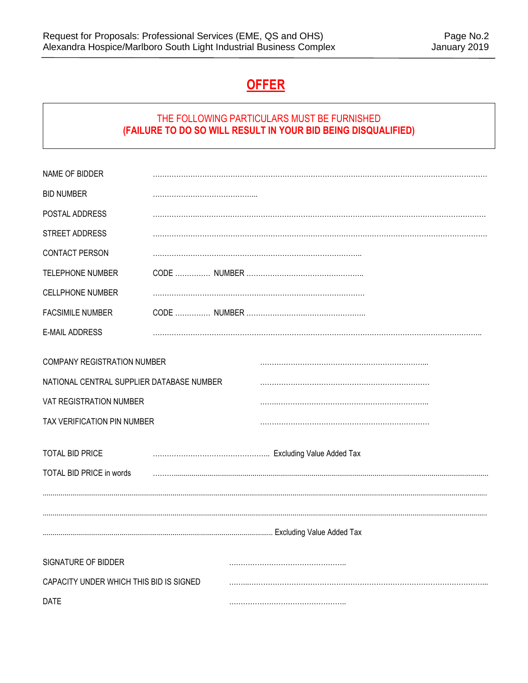# **OFFER**

# THE FOLLOWING PARTICULARS MUST BE FURNISHED **(FAILURE TO DO SO WILL RESULT IN YOUR BID BEING DISQUALIFIED)**

| NAME OF BIDDER                                                                                                                                                                           |  |  |
|------------------------------------------------------------------------------------------------------------------------------------------------------------------------------------------|--|--|
| <b>BID NUMBER</b>                                                                                                                                                                        |  |  |
| POSTAL ADDRESS                                                                                                                                                                           |  |  |
| STREET ADDRESS                                                                                                                                                                           |  |  |
| CONTACT PERSON                                                                                                                                                                           |  |  |
| TELEPHONE NUMBER                                                                                                                                                                         |  |  |
| <b>CELLPHONE NUMBER</b>                                                                                                                                                                  |  |  |
| <b>FACSIMILE NUMBER</b>                                                                                                                                                                  |  |  |
| <b>E-MAIL ADDRESS</b>                                                                                                                                                                    |  |  |
| COMPANY REGISTRATION NUMBER<br>NATIONAL CENTRAL SUPPLIER DATABASE NUMBER<br>VAT REGISTRATION NUMBER<br>TAX VERIFICATION PIN NUMBER<br><b>TOTAL BID PRICE</b><br>TOTAL BID PRICE in words |  |  |
|                                                                                                                                                                                          |  |  |
| SIGNATURE OF BIDDER                                                                                                                                                                      |  |  |
| CAPACITY UNDER WHICH THIS BID IS SIGNED                                                                                                                                                  |  |  |
| <b>DATE</b>                                                                                                                                                                              |  |  |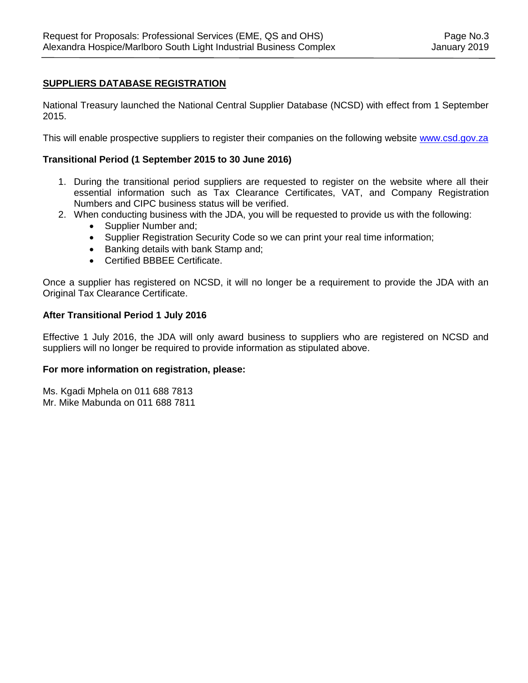## **SUPPLIERS DATABASE REGISTRATION**

National Treasury launched the National Central Supplier Database (NCSD) with effect from 1 September 2015.

This will enable prospective suppliers to register their companies on the following website [www.csd.gov.za](http://www.csd.gov.za/)

#### **Transitional Period (1 September 2015 to 30 June 2016)**

- 1. During the transitional period suppliers are requested to register on the website where all their essential information such as Tax Clearance Certificates, VAT, and Company Registration Numbers and CIPC business status will be verified.
- 2. When conducting business with the JDA, you will be requested to provide us with the following:
	- Supplier Number and;
	- Supplier Registration Security Code so we can print your real time information;
	- Banking details with bank Stamp and;
	- Certified BBBEE Certificate.

Once a supplier has registered on NCSD, it will no longer be a requirement to provide the JDA with an Original Tax Clearance Certificate.

#### **After Transitional Period 1 July 2016**

Effective 1 July 2016, the JDA will only award business to suppliers who are registered on NCSD and suppliers will no longer be required to provide information as stipulated above.

#### **For more information on registration, please:**

Ms. Kgadi Mphela on 011 688 7813 Mr. Mike Mabunda on 011 688 7811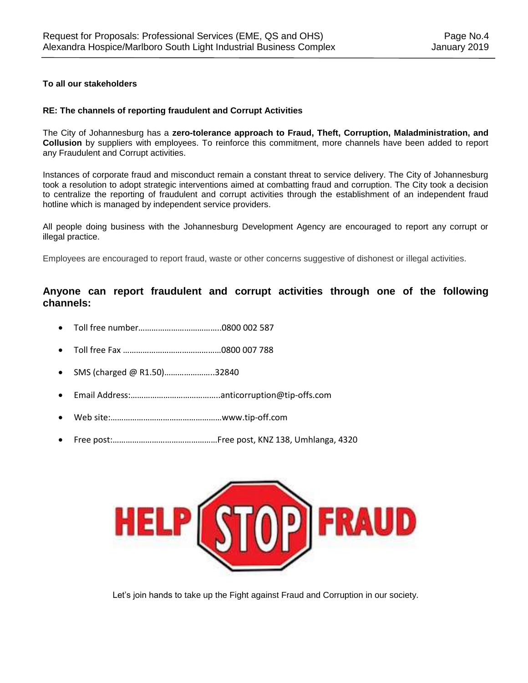#### **To all our stakeholders**

#### **RE: The channels of reporting fraudulent and Corrupt Activities**

The City of Johannesburg has a **zero-tolerance approach to Fraud, Theft, Corruption, Maladministration, and Collusion** by suppliers with employees. To reinforce this commitment, more channels have been added to report any Fraudulent and Corrupt activities.

Instances of corporate fraud and misconduct remain a constant threat to service delivery. The City of Johannesburg took a resolution to adopt strategic interventions aimed at combatting fraud and corruption. The City took a decision to centralize the reporting of fraudulent and corrupt activities through the establishment of an independent fraud hotline which is managed by independent service providers.

All people doing business with the Johannesburg Development Agency are encouraged to report any corrupt or illegal practice.

Employees are encouraged to report fraud, waste or other concerns suggestive of dishonest or illegal activities.

## **Anyone can report fraudulent and corrupt activities through one of the following channels:**

- Toll free number………………………………..0800 002 587
- Toll free Fax ………………………………………0800 007 788
- SMS (charged @ R1.50)…………………..32840
- Email Address:…………………………………..anticorruption@tip-offs.com
- Web site:……………………………………………www.tip-off.com
- Free post:…………………………………………Free post, KNZ 138, Umhlanga, 4320



Let's join hands to take up the Fight against Fraud and Corruption in our society.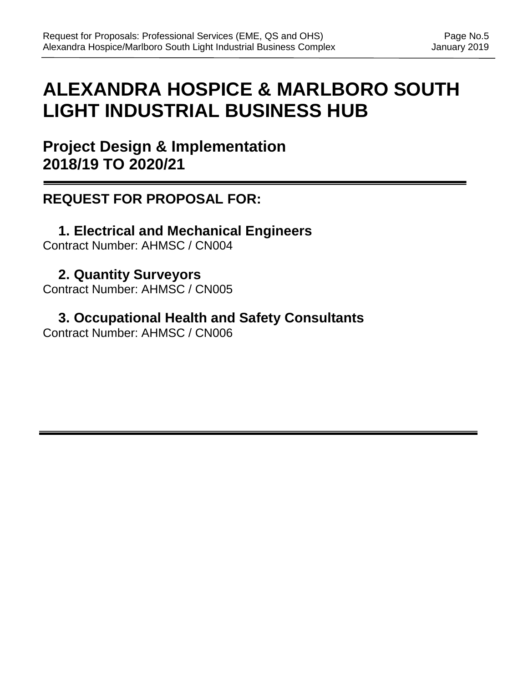# **ALEXANDRA HOSPICE & MARLBORO SOUTH LIGHT INDUSTRIAL BUSINESS HUB**

**Project Design & Implementation 2018/19 TO 2020/21**

# **REQUEST FOR PROPOSAL FOR:**

**1. Electrical and Mechanical Engineers** Contract Number: AHMSC / CN004

**2. Quantity Surveyors** Contract Number: AHMSC / CN005

**3. Occupational Health and Safety Consultants** Contract Number: AHMSC / CN006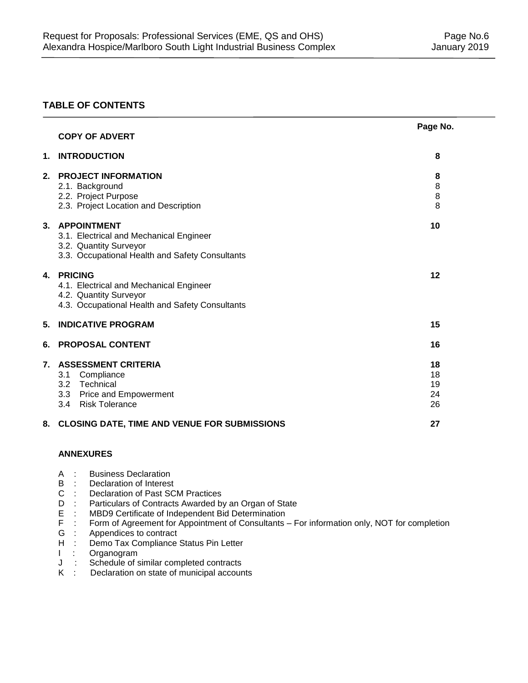## **TABLE OF CONTENTS**

|    | <b>COPY OF ADVERT</b>                                                                                                                      | Page No.                   |
|----|--------------------------------------------------------------------------------------------------------------------------------------------|----------------------------|
| 1. | <b>INTRODUCTION</b>                                                                                                                        | 8                          |
|    | 2. PROJECT INFORMATION<br>2.1. Background<br>2.2. Project Purpose<br>2.3. Project Location and Description                                 | 8<br>8<br>8<br>8           |
|    | 3. APPOINTMENT<br>3.1. Electrical and Mechanical Engineer<br>3.2. Quantity Surveyor<br>3.3. Occupational Health and Safety Consultants     | 10                         |
| 4. | <b>PRICING</b><br>4.1. Electrical and Mechanical Engineer<br>4.2. Quantity Surveyor<br>4.3. Occupational Health and Safety Consultants     | 12                         |
| 5. | <b>INDICATIVE PROGRAM</b>                                                                                                                  | 15                         |
| 6. | <b>PROPOSAL CONTENT</b>                                                                                                                    | 16                         |
| 7. | <b>ASSESSMENT CRITERIA</b><br>Compliance<br>3.1<br>Technical<br>3.2<br><b>Price and Empowerment</b><br>3.3<br>3.4<br><b>Risk Tolerance</b> | 18<br>18<br>19<br>24<br>26 |
|    | 8. CLOSING DATE, TIME AND VENUE FOR SUBMISSIONS                                                                                            | 27                         |

#### **8. ANNEXURES**

- A : Business Declaration<br>B : Declaration of Interest
- Declaration of Interest
- C : Declaration of Past SCM Practices<br>D : Particulars of Contracts Awarded by
- D : Particulars of Contracts Awarded by an Organ of State<br>E : MBD9 Certificate of Independent Bid Determination
- E : MBD9 Certificate of Independent Bid Determination<br>F : Form of Agreement for Appointment of Consultants -
- F : Form of Agreement for Appointment of Consultants For information only, NOT for completion G : Appendices to contract
- G : Appendices to contract<br>H : Demo Tax Compliance
- Demo Tax Compliance Status Pin Letter
- I : Organogram
- J : Schedule of similar completed contracts<br>K : Declaration on state of municipal accoun
- Declaration on state of municipal accounts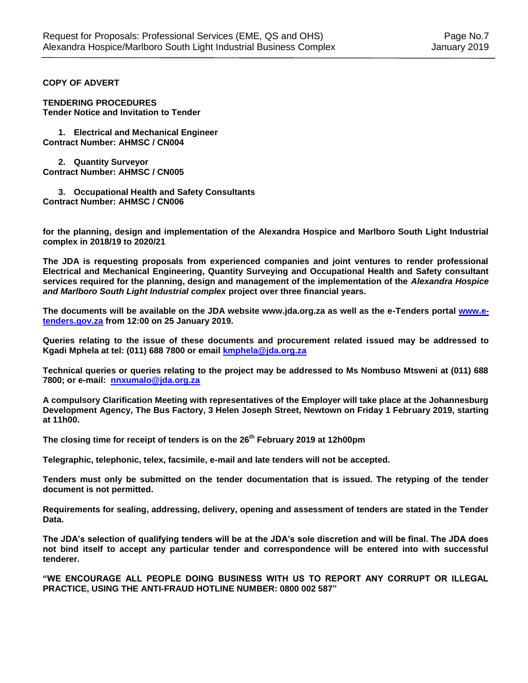#### **COPY OF ADVERT**

**TENDERING PROCEDURES Tender Notice and Invitation to Tender** 

**1. Electrical and Mechanical Engineer Contract Number: AHMSC / CN004**

**2. Quantity Surveyor Contract Number: AHMSC / CN005**

**3. Occupational Health and Safety Consultants Contract Number: AHMSC / CN006**

**for the planning, design and implementation of the Alexandra Hospice and Marlboro South Light Industrial complex in 2018/19 to 2020/21**

**The JDA is requesting proposals from experienced companies and joint ventures to render professional Electrical and Mechanical Engineering, Quantity Surveying and Occupational Health and Safety consultant services required for the planning, design and management of the implementation of the** *Alexandra Hospice and Marlboro South Light Industrial complex* **project over three financial years.** 

**The documents will be available on the JDA website www.jda.org.za as well as the e-Tenders portal [www.e](http://www.e-tenders.gov.za/)[tenders.gov.za](http://www.e-tenders.gov.za/) from 12:00 on 25 January 2019.**

**Queries relating to the issue of these documents and procurement related issued may be addressed to Kgadi Mphela at tel: (011) 688 7800 or email [kmphela@jda.org.za](mailto:kmphela@jda.org.za)**

**Technical queries or queries relating to the project may be addressed to Ms Nombuso Mtsweni at (011) 688 7800; or e-mail: [nnxumalo@jda.org.za](mailto:nnxumalo@jda.org.za)**

**A compulsory Clarification Meeting with representatives of the Employer will take place at the Johannesburg Development Agency, The Bus Factory, 3 Helen Joseph Street, Newtown on Friday 1 February 2019, starting at 11h00.**

**The closing time for receipt of tenders is on the 26th February 2019 at 12h00pm**

**Telegraphic, telephonic, telex, facsimile, e-mail and late tenders will not be accepted.**

**Tenders must only be submitted on the tender documentation that is issued. The retyping of the tender document is not permitted.**

**Requirements for sealing, addressing, delivery, opening and assessment of tenders are stated in the Tender Data.**

**The JDA's selection of qualifying tenders will be at the JDA's sole discretion and will be final. The JDA does not bind itself to accept any particular tender and correspondence will be entered into with successful tenderer.**

**"WE ENCOURAGE ALL PEOPLE DOING BUSINESS WITH US TO REPORT ANY CORRUPT OR ILLEGAL PRACTICE, USING THE ANTI-FRAUD HOTLINE NUMBER: 0800 002 587"**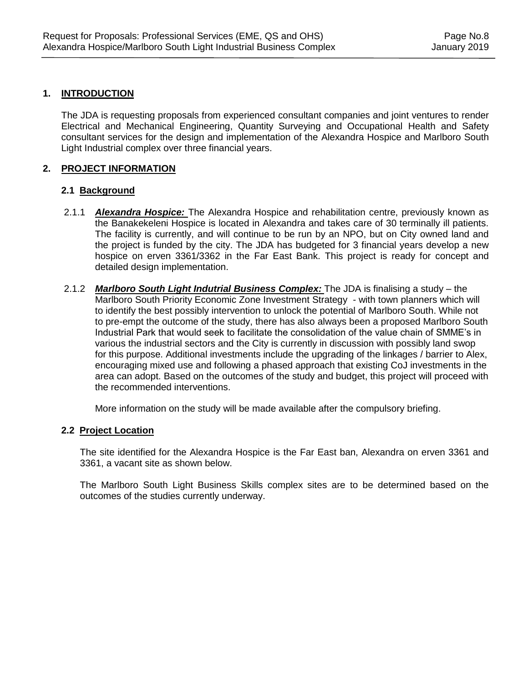## **1. INTRODUCTION**

The JDA is requesting proposals from experienced consultant companies and joint ventures to render Electrical and Mechanical Engineering, Quantity Surveying and Occupational Health and Safety consultant services for the design and implementation of the Alexandra Hospice and Marlboro South Light Industrial complex over three financial years.

## **2. PROJECT INFORMATION**

## **2.1 Background**

- 2.1.1 *Alexandra Hospice:* The Alexandra Hospice and rehabilitation centre, previously known as the Banakekeleni Hospice is located in Alexandra and takes care of 30 terminally ill patients. The facility is currently, and will continue to be run by an NPO, but on City owned land and the project is funded by the city. The JDA has budgeted for 3 financial years develop a new hospice on erven 3361/3362 in the Far East Bank. This project is ready for concept and detailed design implementation.
- 2.1.2 *Marlboro South Light Indutrial Business Complex:* The JDA is finalising a study the Marlboro South Priority Economic Zone Investment Strategy - with town planners which will to identify the best possibly intervention to unlock the potential of Marlboro South. While not to pre-empt the outcome of the study, there has also always been a proposed Marlboro South Industrial Park that would seek to facilitate the consolidation of the value chain of SMME's in various the industrial sectors and the City is currently in discussion with possibly land swop for this purpose. Additional investments include the upgrading of the linkages / barrier to Alex, encouraging mixed use and following a phased approach that existing CoJ investments in the area can adopt. Based on the outcomes of the study and budget, this project will proceed with the recommended interventions.

More information on the study will be made available after the compulsory briefing.

#### **2.2 Project Location**

The site identified for the Alexandra Hospice is the Far East ban, Alexandra on erven 3361 and 3361, a vacant site as shown below.

The Marlboro South Light Business Skills complex sites are to be determined based on the outcomes of the studies currently underway.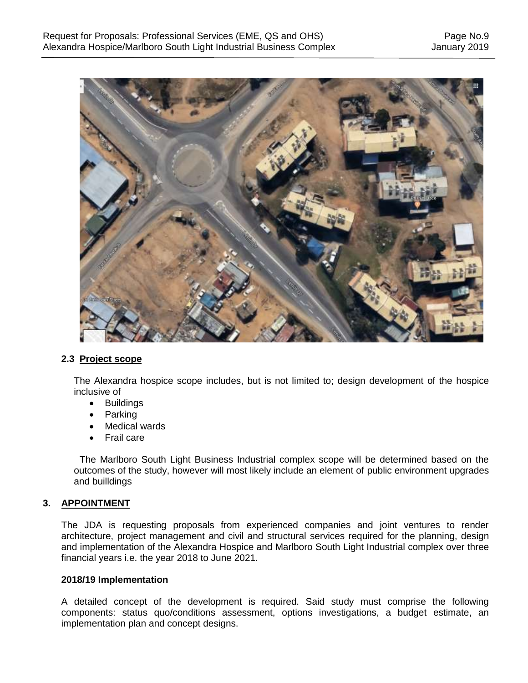

#### **2.3 Project scope**

The Alexandra hospice scope includes, but is not limited to; design development of the hospice inclusive of

- Buildings
- Parking
- Medical wards
- Frail care

The Marlboro South Light Business Industrial complex scope will be determined based on the outcomes of the study, however will most likely include an element of public environment upgrades and builldings

#### **3. APPOINTMENT**

The JDA is requesting proposals from experienced companies and joint ventures to render architecture, project management and civil and structural services required for the planning, design and implementation of the Alexandra Hospice and Marlboro South Light Industrial complex over three financial years i.e. the year 2018 to June 2021.

#### **2018/19 Implementation**

A detailed concept of the development is required. Said study must comprise the following components: status quo/conditions assessment, options investigations, a budget estimate, an implementation plan and concept designs.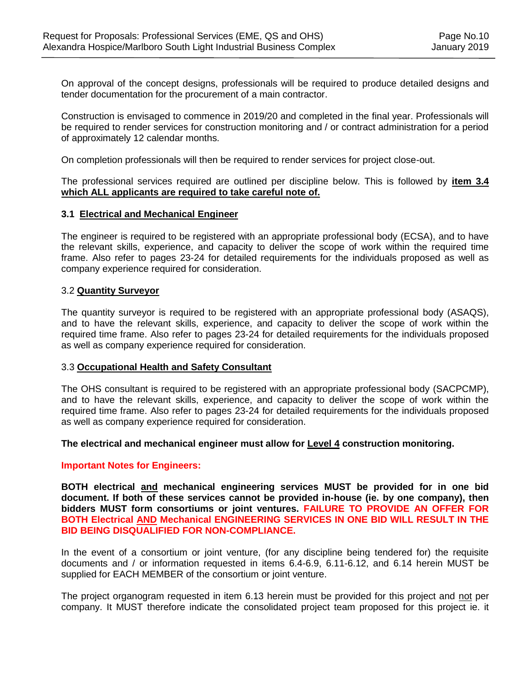On approval of the concept designs, professionals will be required to produce detailed designs and tender documentation for the procurement of a main contractor.

Construction is envisaged to commence in 2019/20 and completed in the final year. Professionals will be required to render services for construction monitoring and / or contract administration for a period of approximately 12 calendar months.

On completion professionals will then be required to render services for project close-out.

The professional services required are outlined per discipline below. This is followed by **item 3.4 which ALL applicants are required to take careful note of.**

#### **3.1 Electrical and Mechanical Engineer**

The engineer is required to be registered with an appropriate professional body (ECSA), and to have the relevant skills, experience, and capacity to deliver the scope of work within the required time frame. Also refer to pages 23-24 for detailed requirements for the individuals proposed as well as company experience required for consideration.

#### 3.2 **Quantity Surveyor**

The quantity surveyor is required to be registered with an appropriate professional body (ASAQS), and to have the relevant skills, experience, and capacity to deliver the scope of work within the required time frame. Also refer to pages 23-24 for detailed requirements for the individuals proposed as well as company experience required for consideration.

#### 3.3 **Occupational Health and Safety Consultant**

The OHS consultant is required to be registered with an appropriate professional body (SACPCMP), and to have the relevant skills, experience, and capacity to deliver the scope of work within the required time frame. Also refer to pages 23-24 for detailed requirements for the individuals proposed as well as company experience required for consideration.

#### **The electrical and mechanical engineer must allow for Level 4 construction monitoring.**

#### **Important Notes for Engineers:**

**BOTH electrical and mechanical engineering services MUST be provided for in one bid document. If both of these services cannot be provided in-house (ie. by one company), then bidders MUST form consortiums or joint ventures. FAILURE TO PROVIDE AN OFFER FOR BOTH Electrical AND Mechanical ENGINEERING SERVICES IN ONE BID WILL RESULT IN THE BID BEING DISQUALIFIED FOR NON-COMPLIANCE.**

In the event of a consortium or joint venture, (for any discipline being tendered for) the requisite documents and / or information requested in items 6.4-6.9, 6.11-6.12, and 6.14 herein MUST be supplied for EACH MEMBER of the consortium or joint venture.

The project organogram requested in item 6.13 herein must be provided for this project and not per company. It MUST therefore indicate the consolidated project team proposed for this project ie. it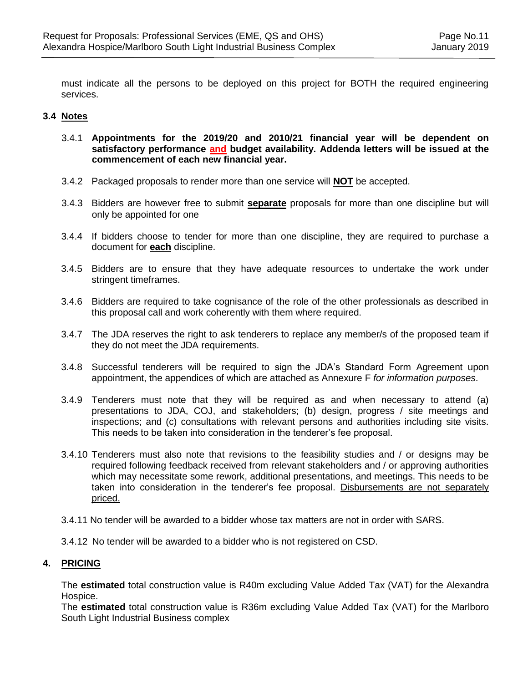must indicate all the persons to be deployed on this project for BOTH the required engineering services.

#### **3.4 Notes**

- 3.4.1 **Appointments for the 2019/20 and 2010/21 financial year will be dependent on satisfactory performance and budget availability. Addenda letters will be issued at the commencement of each new financial year.**
- 3.4.2 Packaged proposals to render more than one service will **NOT** be accepted.
- 3.4.3 Bidders are however free to submit **separate** proposals for more than one discipline but will only be appointed for one
- 3.4.4 If bidders choose to tender for more than one discipline, they are required to purchase a document for **each** discipline.
- 3.4.5 Bidders are to ensure that they have adequate resources to undertake the work under stringent timeframes.
- 3.4.6 Bidders are required to take cognisance of the role of the other professionals as described in this proposal call and work coherently with them where required.
- 3.4.7 The JDA reserves the right to ask tenderers to replace any member/s of the proposed team if they do not meet the JDA requirements.
- 3.4.8 Successful tenderers will be required to sign the JDA's Standard Form Agreement upon appointment, the appendices of which are attached as Annexure F *for information purposes*.
- 3.4.9 Tenderers must note that they will be required as and when necessary to attend (a) presentations to JDA, COJ, and stakeholders; (b) design, progress / site meetings and inspections; and (c) consultations with relevant persons and authorities including site visits. This needs to be taken into consideration in the tenderer's fee proposal.
- 3.4.10 Tenderers must also note that revisions to the feasibility studies and / or designs may be required following feedback received from relevant stakeholders and / or approving authorities which may necessitate some rework, additional presentations, and meetings. This needs to be taken into consideration in the tenderer's fee proposal. Disbursements are not separately priced.
- 3.4.11 No tender will be awarded to a bidder whose tax matters are not in order with SARS.
- 3.4.12 No tender will be awarded to a bidder who is not registered on CSD.

#### **4. PRICING**

The **estimated** total construction value is R40m excluding Value Added Tax (VAT) for the Alexandra Hospice.

The **estimated** total construction value is R36m excluding Value Added Tax (VAT) for the Marlboro South Light Industrial Business complex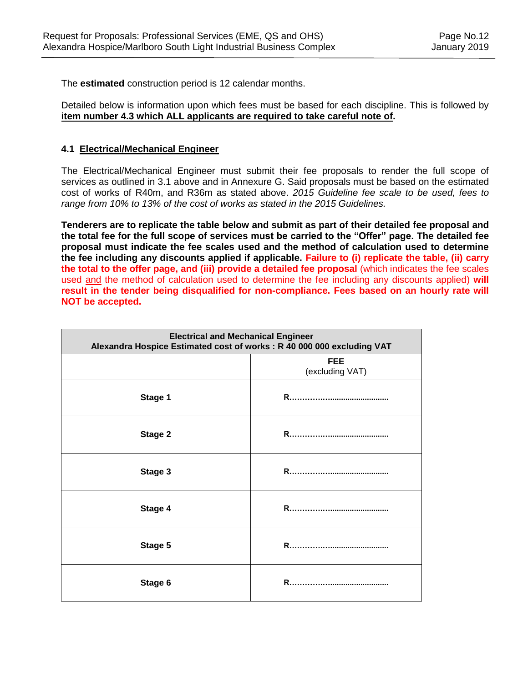The **estimated** construction period is 12 calendar months.

Detailed below is information upon which fees must be based for each discipline. This is followed by **item number 4.3 which ALL applicants are required to take careful note of.**

## **4.1 Electrical/Mechanical Engineer**

The Electrical/Mechanical Engineer must submit their fee proposals to render the full scope of services as outlined in 3.1 above and in Annexure G. Said proposals must be based on the estimated cost of works of R40m, and R36m as stated above. *2015 Guideline fee scale to be used, fees to range from 10% to 13% of the cost of works as stated in the 2015 Guidelines.*

**Tenderers are to replicate the table below and submit as part of their detailed fee proposal and the total fee for the full scope of services must be carried to the "Offer" page. The detailed fee proposal must indicate the fee scales used and the method of calculation used to determine the fee including any discounts applied if applicable. Failure to (i) replicate the table, (ii) carry the total to the offer page, and (iii) provide a detailed fee proposal** (which indicates the fee scales used and the method of calculation used to determine the fee including any discounts applied) **will result in the tender being disqualified for non-compliance. Fees based on an hourly rate will NOT be accepted.**

| <b>Electrical and Mechanical Engineer</b><br>Alexandra Hospice Estimated cost of works: R 40 000 000 excluding VAT |                               |  |
|--------------------------------------------------------------------------------------------------------------------|-------------------------------|--|
|                                                                                                                    | <b>FEE</b><br>(excluding VAT) |  |
| Stage 1                                                                                                            |                               |  |
| Stage 2                                                                                                            |                               |  |
| Stage 3                                                                                                            |                               |  |
| Stage 4                                                                                                            |                               |  |
| Stage 5                                                                                                            |                               |  |
| Stage 6                                                                                                            |                               |  |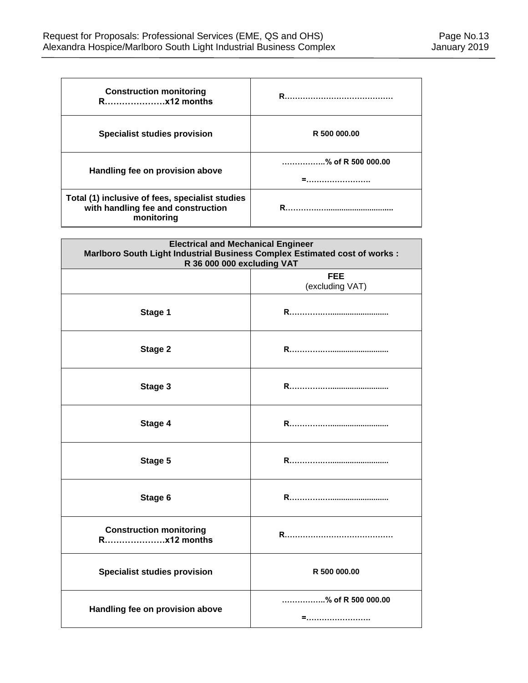| <b>Construction monitoring</b>                                                                      | R.,                        |
|-----------------------------------------------------------------------------------------------------|----------------------------|
| <b>Specialist studies provision</b>                                                                 | R 500 000.00               |
| Handling fee on provision above                                                                     | $\ldots$ % of R 500 000.00 |
|                                                                                                     |                            |
| Total (1) inclusive of fees, specialist studies<br>with handling fee and construction<br>monitoring |                            |

| <b>Electrical and Mechanical Engineer</b><br>Marlboro South Light Industrial Business Complex Estimated cost of works :<br>R 36 000 000 excluding VAT |                               |  |
|-------------------------------------------------------------------------------------------------------------------------------------------------------|-------------------------------|--|
|                                                                                                                                                       | <b>FEE</b><br>(excluding VAT) |  |
| Stage 1                                                                                                                                               |                               |  |
| Stage 2                                                                                                                                               |                               |  |
| Stage 3                                                                                                                                               |                               |  |
| Stage 4                                                                                                                                               |                               |  |
| Stage 5                                                                                                                                               |                               |  |
| Stage 6                                                                                                                                               |                               |  |
| <b>Construction monitoring</b><br>Rx12 months                                                                                                         |                               |  |
| <b>Specialist studies provision</b>                                                                                                                   | R 500 000.00                  |  |
| Handling fee on provision above                                                                                                                       | % of R 500 000.00<br>=        |  |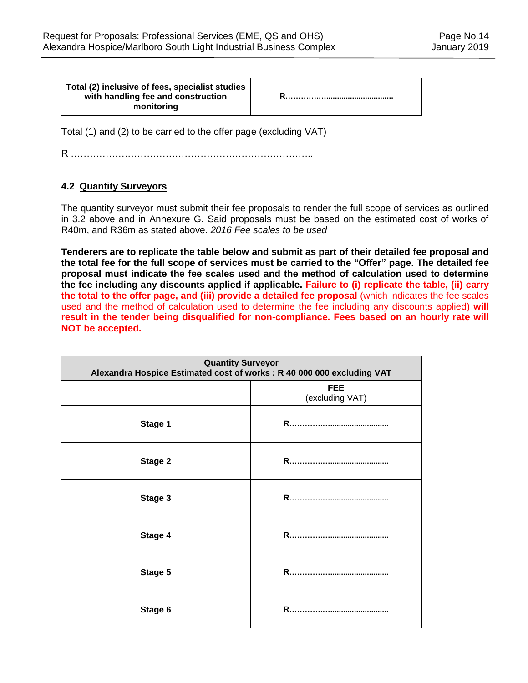| Total (2) inclusive of fees, specialist studies<br>with handling fee and construction<br>monitoring |  |
|-----------------------------------------------------------------------------------------------------|--|
|-----------------------------------------------------------------------------------------------------|--|

Total (1) and (2) to be carried to the offer page (excluding VAT)

R …………………………………………………………………..

## **4.2 Quantity Surveyors**

The quantity surveyor must submit their fee proposals to render the full scope of services as outlined in 3.2 above and in Annexure G. Said proposals must be based on the estimated cost of works of R40m, and R36m as stated above. *2016 Fee scales to be used*

**Tenderers are to replicate the table below and submit as part of their detailed fee proposal and the total fee for the full scope of services must be carried to the "Offer" page. The detailed fee proposal must indicate the fee scales used and the method of calculation used to determine the fee including any discounts applied if applicable. Failure to (i) replicate the table, (ii) carry the total to the offer page, and (iii) provide a detailed fee proposal** (which indicates the fee scales used and the method of calculation used to determine the fee including any discounts applied) **will result in the tender being disqualified for non-compliance. Fees based on an hourly rate will NOT be accepted.**

| <b>Quantity Surveyor</b><br>Alexandra Hospice Estimated cost of works: R 40 000 000 excluding VAT |                               |  |
|---------------------------------------------------------------------------------------------------|-------------------------------|--|
|                                                                                                   | <b>FEE</b><br>(excluding VAT) |  |
| Stage 1                                                                                           |                               |  |
| Stage 2                                                                                           |                               |  |
| Stage 3                                                                                           |                               |  |
| Stage 4                                                                                           |                               |  |
| Stage 5                                                                                           |                               |  |
| Stage 6                                                                                           | R                             |  |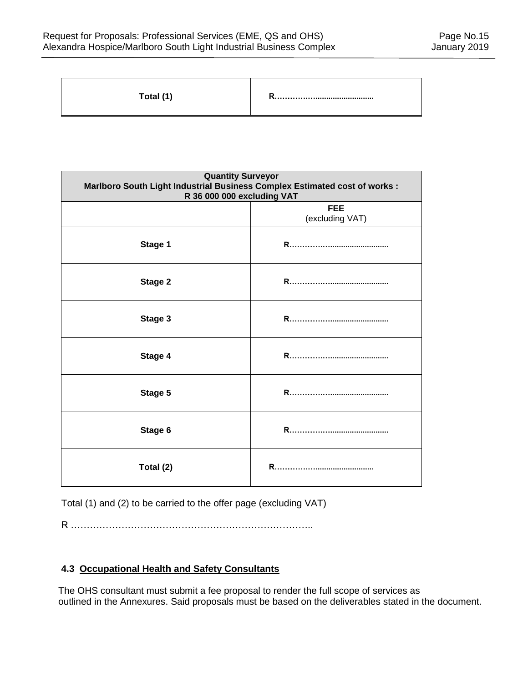| Total (1) |  |
|-----------|--|
|-----------|--|

| <b>Quantity Surveyor</b><br>Marlboro South Light Industrial Business Complex Estimated cost of works :<br>R 36 000 000 excluding VAT |                               |  |
|--------------------------------------------------------------------------------------------------------------------------------------|-------------------------------|--|
|                                                                                                                                      | <b>FEE</b><br>(excluding VAT) |  |
| Stage 1                                                                                                                              |                               |  |
| Stage 2                                                                                                                              |                               |  |
| Stage 3                                                                                                                              |                               |  |
| Stage 4                                                                                                                              |                               |  |
| Stage 5                                                                                                                              |                               |  |
| Stage 6                                                                                                                              |                               |  |
| Total (2)                                                                                                                            |                               |  |

Total (1) and (2) to be carried to the offer page (excluding VAT)

R …………………………………………………………………..

# **4.3 Occupational Health and Safety Consultants**

The OHS consultant must submit a fee proposal to render the full scope of services as outlined in the Annexures. Said proposals must be based on the deliverables stated in the document.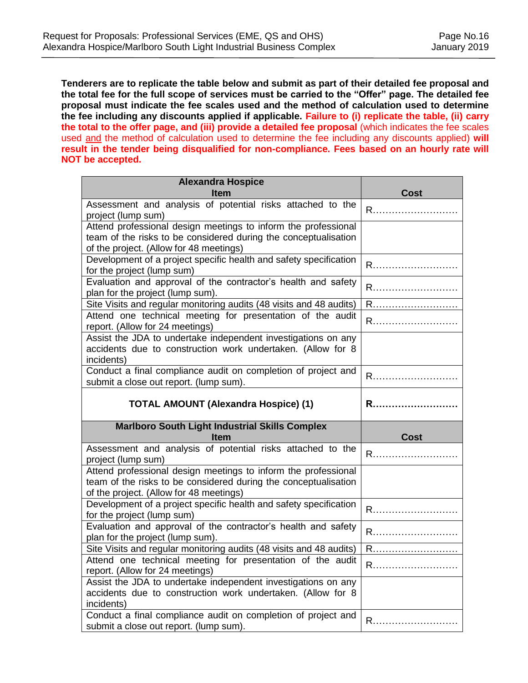**Tenderers are to replicate the table below and submit as part of their detailed fee proposal and the total fee for the full scope of services must be carried to the "Offer" page. The detailed fee proposal must indicate the fee scales used and the method of calculation used to determine the fee including any discounts applied if applicable. Failure to (i) replicate the table, (ii) carry the total to the offer page, and (iii) provide a detailed fee proposal** (which indicates the fee scales used and the method of calculation used to determine the fee including any discounts applied) **will result in the tender being disqualified for non-compliance. Fees based on an hourly rate will NOT be accepted.**

| <b>Alexandra Hospice</b>                                                                                                                                                     |             |
|------------------------------------------------------------------------------------------------------------------------------------------------------------------------------|-------------|
| <b>Item</b>                                                                                                                                                                  | Cost        |
| Assessment and analysis of potential risks attached to the<br>project (lump sum)                                                                                             |             |
| Attend professional design meetings to inform the professional<br>team of the risks to be considered during the conceptualisation<br>of the project. (Allow for 48 meetings) |             |
| Development of a project specific health and safety specification<br>for the project (lump sum)                                                                              | R           |
| Evaluation and approval of the contractor's health and safety<br>plan for the project (lump sum).                                                                            | R           |
| Site Visits and regular monitoring audits (48 visits and 48 audits)<br>Attend one technical meeting for presentation of the audit                                            | R           |
| report. (Allow for 24 meetings)                                                                                                                                              | R           |
| Assist the JDA to undertake independent investigations on any<br>accidents due to construction work undertaken. (Allow for 8<br>incidents)                                   |             |
| Conduct a final compliance audit on completion of project and<br>submit a close out report. (lump sum).                                                                      | R           |
| <b>TOTAL AMOUNT (Alexandra Hospice) (1)</b>                                                                                                                                  | R           |
| <b>Marlboro South Light Industrial Skills Complex</b><br><b>Item</b>                                                                                                         | <b>Cost</b> |
| Assessment and analysis of potential risks attached to the<br>project (lump sum)                                                                                             | R           |
| Attend professional design meetings to inform the professional<br>team of the risks to be considered during the conceptualisation<br>of the project. (Allow for 48 meetings) |             |
| Development of a project specific health and safety specification<br>for the project (lump sum)                                                                              | R           |
| Evaluation and approval of the contractor's health and safety<br>plan for the project (lump sum).                                                                            | R           |
| Site Visits and regular monitoring audits (48 visits and 48 audits)                                                                                                          | R           |
| Attend one technical meeting for presentation of the audit<br>report. (Allow for 24 meetings)                                                                                |             |
| Assist the JDA to undertake independent investigations on any<br>accidents due to construction work undertaken. (Allow for 8<br>incidents)                                   |             |
| Conduct a final compliance audit on completion of project and<br>submit a close out report. (lump sum).                                                                      | R.          |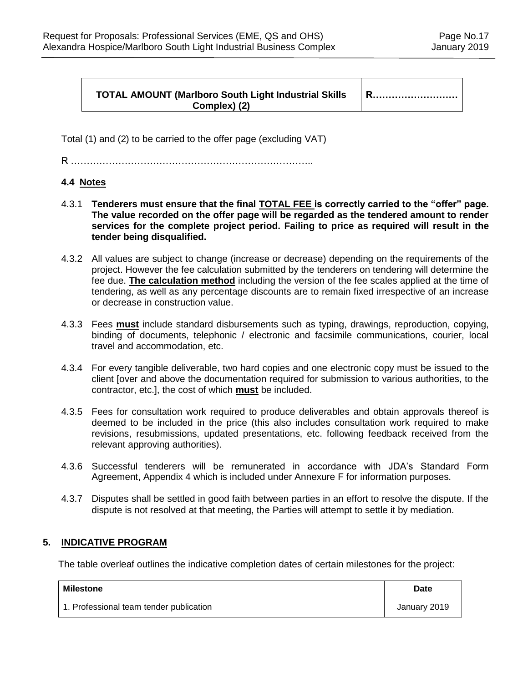#### **TOTAL AMOUNT (Marlboro South Light Industrial Skills Complex) (2)**

**R………………………**

Total (1) and (2) to be carried to the offer page (excluding VAT)

R …………………………………………………………………..

# **4.4 Notes**

- 4.3.1 **Tenderers must ensure that the final TOTAL FEE is correctly carried to the "offer" page. The value recorded on the offer page will be regarded as the tendered amount to render services for the complete project period. Failing to price as required will result in the tender being disqualified.**
- 4.3.2 All values are subject to change (increase or decrease) depending on the requirements of the project. However the fee calculation submitted by the tenderers on tendering will determine the fee due. **The calculation method** including the version of the fee scales applied at the time of tendering, as well as any percentage discounts are to remain fixed irrespective of an increase or decrease in construction value.
- 4.3.3 Fees **must** include standard disbursements such as typing, drawings, reproduction, copying, binding of documents, telephonic / electronic and facsimile communications, courier, local travel and accommodation, etc.
- 4.3.4 For every tangible deliverable, two hard copies and one electronic copy must be issued to the client [over and above the documentation required for submission to various authorities, to the contractor, etc.], the cost of which **must** be included.
- 4.3.5 Fees for consultation work required to produce deliverables and obtain approvals thereof is deemed to be included in the price (this also includes consultation work required to make revisions, resubmissions, updated presentations, etc. following feedback received from the relevant approving authorities).
- 4.3.6 Successful tenderers will be remunerated in accordance with JDA's Standard Form Agreement, Appendix 4 which is included under Annexure F for information purposes.
- 4.3.7 Disputes shall be settled in good faith between parties in an effort to resolve the dispute. If the dispute is not resolved at that meeting, the Parties will attempt to settle it by mediation.

#### **5. INDICATIVE PROGRAM**

The table overleaf outlines the indicative completion dates of certain milestones for the project:

| <b>Milestone</b>                        | Date         |
|-----------------------------------------|--------------|
| 1. Professional team tender publication | January 2019 |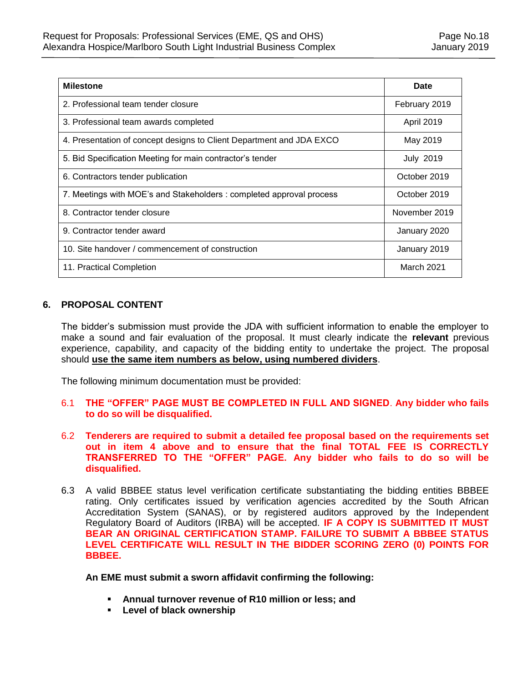| <b>Milestone</b>                                                     | Date             |
|----------------------------------------------------------------------|------------------|
| 2. Professional team tender closure                                  | February 2019    |
| 3. Professional team awards completed                                | April 2019       |
| 4. Presentation of concept designs to Client Department and JDA EXCO | May 2019         |
| 5. Bid Specification Meeting for main contractor's tender            | <b>July 2019</b> |
| 6. Contractors tender publication                                    | October 2019     |
| 7. Meetings with MOE's and Stakeholders : completed approval process | October 2019     |
| 8. Contractor tender closure                                         | November 2019    |
| 9. Contractor tender award                                           | January 2020     |
| 10. Site handover / commencement of construction                     | January 2019     |
| 11. Practical Completion                                             | March 2021       |

# **6. PROPOSAL CONTENT**

The bidder's submission must provide the JDA with sufficient information to enable the employer to make a sound and fair evaluation of the proposal. It must clearly indicate the **relevant** previous experience, capability, and capacity of the bidding entity to undertake the project. The proposal should **use the same item numbers as below, using numbered dividers**.

The following minimum documentation must be provided:

- 6.1 **THE "OFFER" PAGE MUST BE COMPLETED IN FULL AND SIGNED**. **Any bidder who fails to do so will be disqualified.**
- 6.2 **Tenderers are required to submit a detailed fee proposal based on the requirements set out in item 4 above and to ensure that the final TOTAL FEE IS CORRECTLY TRANSFERRED TO THE "OFFER" PAGE. Any bidder who fails to do so will be disqualified.**
- 6.3 A valid BBBEE status level verification certificate substantiating the bidding entities BBBEE rating. Only certificates issued by verification agencies accredited by the South African Accreditation System (SANAS), or by registered auditors approved by the Independent Regulatory Board of Auditors (IRBA) will be accepted. **IF A COPY IS SUBMITTED IT MUST BEAR AN ORIGINAL CERTIFICATION STAMP. FAILURE TO SUBMIT A BBBEE STATUS LEVEL CERTIFICATE WILL RESULT IN THE BIDDER SCORING ZERO (0) POINTS FOR BBBEE.**

**An EME must submit a sworn affidavit confirming the following:**

- **Annual turnover revenue of R10 million or less; and**
- **Level of black ownership**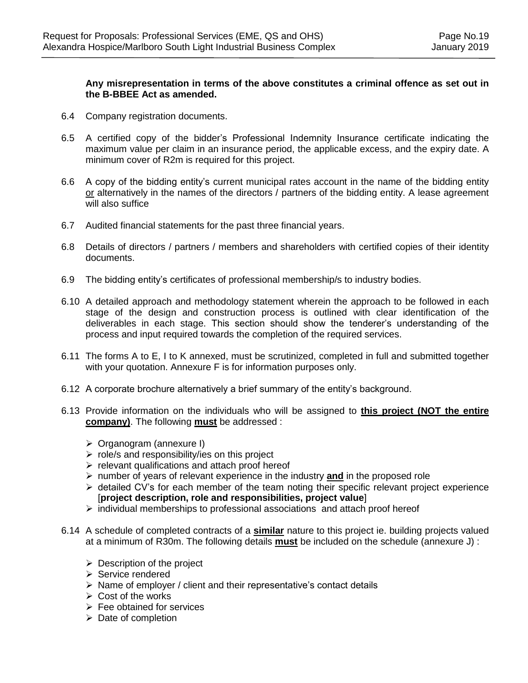#### **Any misrepresentation in terms of the above constitutes a criminal offence as set out in the B-BBEE Act as amended.**

- 6.4 Company registration documents.
- 6.5 A certified copy of the bidder's Professional Indemnity Insurance certificate indicating the maximum value per claim in an insurance period, the applicable excess, and the expiry date. A minimum cover of R2m is required for this project.
- 6.6 A copy of the bidding entity's current municipal rates account in the name of the bidding entity or alternatively in the names of the directors / partners of the bidding entity. A lease agreement will also suffice
- 6.7 Audited financial statements for the past three financial years.
- 6.8 Details of directors / partners / members and shareholders with certified copies of their identity documents.
- 6.9 The bidding entity's certificates of professional membership/s to industry bodies.
- 6.10 A detailed approach and methodology statement wherein the approach to be followed in each stage of the design and construction process is outlined with clear identification of the deliverables in each stage. This section should show the tenderer's understanding of the process and input required towards the completion of the required services.
- 6.11 The forms A to E, I to K annexed, must be scrutinized, completed in full and submitted together with your quotation. Annexure F is for information purposes only.
- 6.12 A corporate brochure alternatively a brief summary of the entity's background.
- 6.13 Provide information on the individuals who will be assigned to **this project (NOT the entire company)**. The following **must** be addressed :
	- Organogram (annexure I)
	- $\triangleright$  role/s and responsibility/ies on this project
	- $\triangleright$  relevant qualifications and attach proof hereof
	- $\triangleright$  number of years of relevant experience in the industry **and** in the proposed role
	- $\triangleright$  detailed CV's for each member of the team noting their specific relevant project experience [**project description, role and responsibilities, project value**]
	- $\triangleright$  individual memberships to professional associations and attach proof hereof
- 6.14 A schedule of completed contracts of a **similar** nature to this project ie. building projects valued at a minimum of R30m. The following details **must** be included on the schedule (annexure J) :
	- $\triangleright$  Description of the project
	- $\triangleright$  Service rendered
	- $\triangleright$  Name of employer / client and their representative's contact details
	- $\triangleright$  Cost of the works
	- $\triangleright$  Fee obtained for services
	- $\triangleright$  Date of completion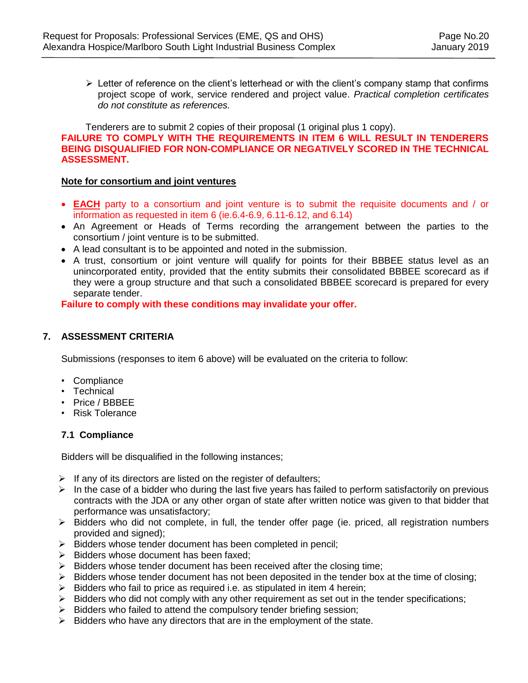$\triangleright$  Letter of reference on the client's letterhead or with the client's company stamp that confirms project scope of work, service rendered and project value. *Practical completion certificates do not constitute as references.*

Tenderers are to submit 2 copies of their proposal (1 original plus 1 copy). **FAILURE TO COMPLY WITH THE REQUIREMENTS IN ITEM 6 WILL RESULT IN TENDERERS BEING DISQUALIFIED FOR NON-COMPLIANCE OR NEGATIVELY SCORED IN THE TECHNICAL ASSESSMENT.**

#### **Note for consortium and joint ventures**

- **EACH** party to a consortium and joint venture is to submit the requisite documents and / or information as requested in item 6 (ie.6.4-6.9, 6.11-6.12, and 6.14)
- An Agreement or Heads of Terms recording the arrangement between the parties to the consortium / joint venture is to be submitted.
- A lead consultant is to be appointed and noted in the submission.
- A trust, consortium or joint venture will qualify for points for their BBBEE status level as an unincorporated entity, provided that the entity submits their consolidated BBBEE scorecard as if they were a group structure and that such a consolidated BBBEE scorecard is prepared for every separate tender.

**Failure to comply with these conditions may invalidate your offer.**

#### **7. ASSESSMENT CRITERIA**

Submissions (responses to item 6 above) will be evaluated on the criteria to follow:

- Compliance
- Technical
- Price / BBBEE
- Risk Tolerance

#### **7.1 Compliance**

Bidders will be disqualified in the following instances;

- $\triangleright$  If any of its directors are listed on the register of defaulters;
- $\triangleright$  In the case of a bidder who during the last five years has failed to perform satisfactorily on previous contracts with the JDA or any other organ of state after written notice was given to that bidder that performance was unsatisfactory;
- $\triangleright$  Bidders who did not complete, in full, the tender offer page (ie. priced, all registration numbers provided and signed);
- $\triangleright$  Bidders whose tender document has been completed in pencil;
- $\triangleright$  Bidders whose document has been faxed;
- $\triangleright$  Bidders whose tender document has been received after the closing time;
- $\triangleright$  Bidders whose tender document has not been deposited in the tender box at the time of closing;
- $\triangleright$  Bidders who fail to price as required i.e. as stipulated in item 4 herein;
- $\triangleright$  Bidders who did not comply with any other requirement as set out in the tender specifications;
- $\triangleright$  Bidders who failed to attend the compulsory tender briefing session;
- $\triangleright$  Bidders who have any directors that are in the employment of the state.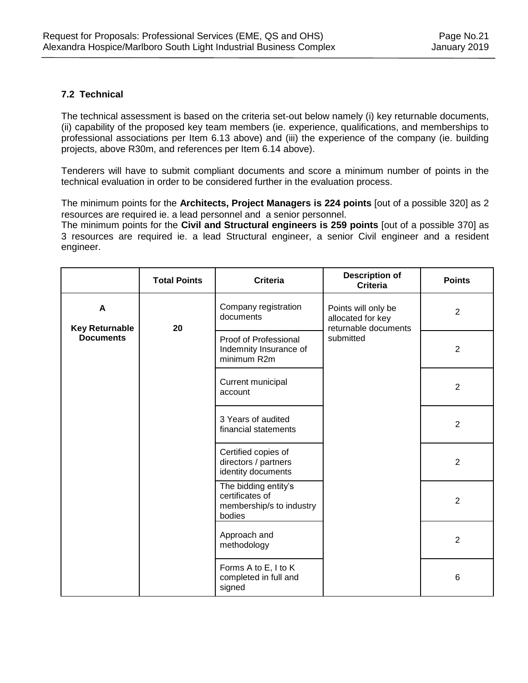## **7.2 Technical**

The technical assessment is based on the criteria set-out below namely (i) key returnable documents, (ii) capability of the proposed key team members (ie. experience, qualifications, and memberships to professional associations per Item 6.13 above) and (iii) the experience of the company (ie. building projects, above R30m, and references per Item 6.14 above).

Tenderers will have to submit compliant documents and score a minimum number of points in the technical evaluation in order to be considered further in the evaluation process.

The minimum points for the **Architects, Project Managers is 224 points** [out of a possible 320] as 2 resources are required ie. a lead personnel and a senior personnel.

The minimum points for the **Civil and Structural engineers is 259 points** [out of a possible 370] as 3 resources are required ie. a lead Structural engineer, a senior Civil engineer and a resident engineer.

|                                       | <b>Total Points</b> | <b>Description of</b><br><b>Criteria</b><br><b>Criteria</b>                   |                                                                  | <b>Points</b>   |
|---------------------------------------|---------------------|-------------------------------------------------------------------------------|------------------------------------------------------------------|-----------------|
| $\mathbf{A}$<br><b>Key Returnable</b> | 20                  | Company registration<br>documents                                             | Points will only be<br>allocated for key<br>returnable documents | $\overline{2}$  |
| <b>Documents</b>                      |                     | submitted<br>Proof of Professional<br>Indemnity Insurance of<br>minimum R2m   | $\overline{2}$                                                   |                 |
|                                       |                     | Current municipal<br>account                                                  |                                                                  | $\overline{2}$  |
|                                       |                     | 3 Years of audited<br>financial statements                                    |                                                                  | $\overline{2}$  |
|                                       |                     | Certified copies of<br>directors / partners<br>identity documents             |                                                                  | $\overline{2}$  |
|                                       |                     | The bidding entity's<br>certificates of<br>membership/s to industry<br>bodies |                                                                  | $\overline{2}$  |
|                                       |                     | Approach and<br>methodology                                                   |                                                                  | $\overline{2}$  |
|                                       |                     | Forms A to E, I to K<br>completed in full and<br>signed                       |                                                                  | $6\phantom{1}6$ |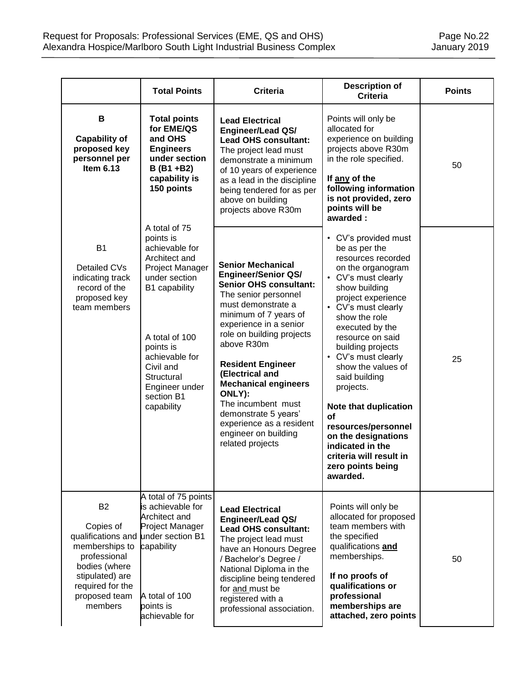|                                                                                                                                                                    | <b>Total Points</b>                                                                                                                                                                                                                          | <b>Description of</b><br><b>Criteria</b><br><b>Criteria</b>                                                                                                                                                                                                                                                                                                                                                                                       |                                                                                                                                                                                                                                                                                                                                                                                                                                                                                                   | <b>Points</b> |
|--------------------------------------------------------------------------------------------------------------------------------------------------------------------|----------------------------------------------------------------------------------------------------------------------------------------------------------------------------------------------------------------------------------------------|---------------------------------------------------------------------------------------------------------------------------------------------------------------------------------------------------------------------------------------------------------------------------------------------------------------------------------------------------------------------------------------------------------------------------------------------------|---------------------------------------------------------------------------------------------------------------------------------------------------------------------------------------------------------------------------------------------------------------------------------------------------------------------------------------------------------------------------------------------------------------------------------------------------------------------------------------------------|---------------|
| B<br><b>Capability of</b><br>proposed key<br>personnel per<br>Item $6.13$                                                                                          | <b>Total points</b><br>for EME/QS<br>and OHS<br><b>Engineers</b><br>under section<br>$B (B1 + B2)$<br>capability is<br>150 points                                                                                                            | <b>Lead Electrical</b><br><b>Engineer/Lead QS/</b><br><b>Lead OHS consultant:</b><br>The project lead must<br>demonstrate a minimum<br>of 10 years of experience<br>as a lead in the discipline<br>being tendered for as per<br>above on building<br>projects above R30m                                                                                                                                                                          | Points will only be<br>allocated for<br>experience on building<br>projects above R30m<br>in the role specified.<br>If any of the<br>following information<br>is not provided, zero<br>points will be<br>awarded:                                                                                                                                                                                                                                                                                  | 50            |
| <b>B1</b><br>Detailed CVs<br>indicating track<br>record of the<br>proposed key<br>team members                                                                     | A total of 75<br>points is<br>achievable for<br>Architect and<br>Project Manager<br>under section<br>B1 capability<br>A total of 100<br>points is<br>achievable for<br>Civil and<br>Structural<br>Engineer under<br>section B1<br>capability | <b>Senior Mechanical</b><br><b>Engineer/Senior QS/</b><br><b>Senior OHS consultant:</b><br>The senior personnel<br>must demonstrate a<br>minimum of 7 years of<br>experience in a senior<br>role on building projects<br>above R30m<br><b>Resident Engineer</b><br>(Electrical and<br><b>Mechanical engineers</b><br>ONLY):<br>The incumbent must<br>demonstrate 5 years'<br>experience as a resident<br>engineer on building<br>related projects | • CV's provided must<br>be as per the<br>resources recorded<br>on the organogram<br>• CV's must clearly<br>show building<br>project experience<br>• CV's must clearly<br>show the role<br>executed by the<br>resource on said<br>building projects<br>• CV's must clearly<br>show the values of<br>said building<br>projects.<br>Note that duplication<br><b>of</b><br>resources/personnel<br>on the designations<br>indicated in the<br>criteria will result in<br>zero points being<br>awarded. | 25            |
| <b>B2</b><br>Copies of<br>qualifications and<br>memberships to<br>professional<br>bodies (where<br>stipulated) are<br>required for the<br>proposed team<br>members | A total of 75 points<br>is achievable for<br>Architect and<br>Project Manager<br>under section B1<br>capability<br>A total of 100<br>points is<br>achievable for                                                                             | <b>Lead Electrical</b><br><b>Engineer/Lead QS/</b><br><b>Lead OHS consultant:</b><br>The project lead must<br>have an Honours Degree<br>/ Bachelor's Degree /<br>National Diploma in the<br>discipline being tendered<br>for and must be<br>registered with a<br>professional association.                                                                                                                                                        | Points will only be<br>allocated for proposed<br>team members with<br>the specified<br>qualifications and<br>memberships.<br>If no proofs of<br>qualifications or<br>professional<br>memberships are<br>attached, zero points                                                                                                                                                                                                                                                                     | 50            |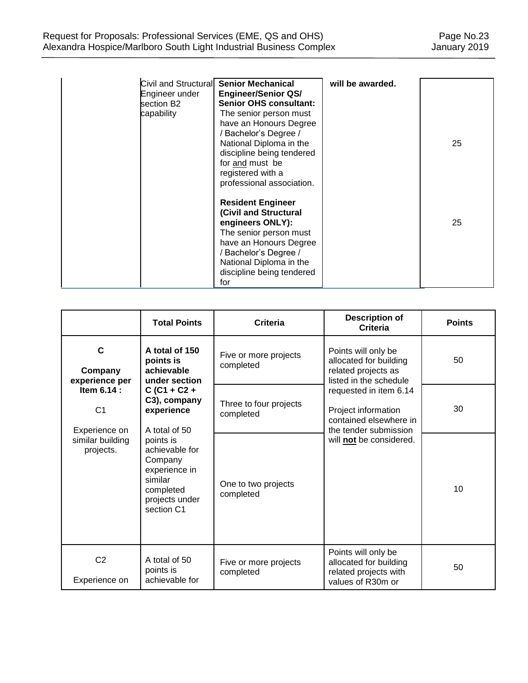| Engineer under<br>section B2<br>capability | Civil and Structural Senior Mechanical<br><b>Engineer/Senior QS/</b><br><b>Senior OHS consultant:</b><br>The senior person must<br>have an Honours Degree<br>/ Bachelor's Degree /<br>National Diploma in the<br>discipline being tendered<br>for and must be<br>registered with a<br>professional association. | will be awarded. | 25 |
|--------------------------------------------|-----------------------------------------------------------------------------------------------------------------------------------------------------------------------------------------------------------------------------------------------------------------------------------------------------------------|------------------|----|
|                                            | <b>Resident Engineer</b><br>(Civil and Structural<br>engineers ONLY):<br>The senior person must<br>have an Honours Degree<br>/ Bachelor's Degree /<br>National Diploma in the<br>discipline being tendered<br>for                                                                                               |                  | 25 |

|                                                | <b>Total Points</b>                                                                                             | <b>Description of</b><br><b>Criteria</b><br><b>Criteria</b>                                                                             |                                                                                                | <b>Points</b> |
|------------------------------------------------|-----------------------------------------------------------------------------------------------------------------|-----------------------------------------------------------------------------------------------------------------------------------------|------------------------------------------------------------------------------------------------|---------------|
| $\mathbf C$<br>Company<br>experience per       | A total of 150<br>points is<br>achievable<br>under section                                                      | Five or more projects<br>completed                                                                                                      | Points will only be<br>allocated for building<br>related projects as<br>listed in the schedule | 50            |
| Item 6.14 :<br>C <sub>1</sub><br>Experience on | $C (C1 + C2 +$<br>C3), company<br>experience<br>A total of 50                                                   | requested in item 6.14<br>Three to four projects<br>Project information<br>completed<br>contained elsewhere in<br>the tender submission |                                                                                                | 30            |
| similar building<br>projects.                  | points is<br>achievable for<br>Company<br>experience in<br>similar<br>completed<br>projects under<br>section C1 | will not be considered.<br>One to two projects<br>completed                                                                             |                                                                                                | 10            |
| C <sub>2</sub><br>Experience on                | A total of 50<br>points is<br>achievable for                                                                    | Five or more projects<br>completed                                                                                                      | Points will only be<br>allocated for building<br>related projects with<br>values of R30m or    | 50            |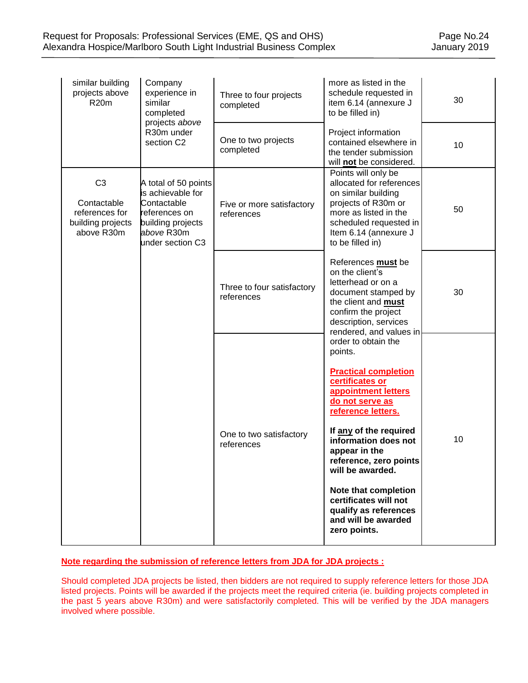| similar building<br>projects above<br><b>R20m</b>                                  | Company<br>experience in<br>similar<br>completed                                                                                 | Three to four projects<br>completed      | more as listed in the<br>schedule requested in<br>item 6.14 (annexure J<br>to be filled in)                                                                                                                                                                                                                                                                                        | 30 |
|------------------------------------------------------------------------------------|----------------------------------------------------------------------------------------------------------------------------------|------------------------------------------|------------------------------------------------------------------------------------------------------------------------------------------------------------------------------------------------------------------------------------------------------------------------------------------------------------------------------------------------------------------------------------|----|
| projects above<br>R30m under<br>section C2                                         |                                                                                                                                  | One to two projects<br>completed         | Project information<br>contained elsewhere in<br>the tender submission<br>will not be considered.                                                                                                                                                                                                                                                                                  | 10 |
| C <sub>3</sub><br>Contactable<br>references for<br>building projects<br>above R30m | A total of 50 points<br>is achievable for<br>Contactable<br>references on<br>building projects<br>above R30m<br>under section C3 | Five or more satisfactory<br>references  | Points will only be<br>allocated for references<br>on similar building<br>projects of R30m or<br>more as listed in the<br>scheduled requested in<br>Item 6.14 (annexure J<br>to be filled in)                                                                                                                                                                                      | 50 |
|                                                                                    |                                                                                                                                  | Three to four satisfactory<br>references | References must be<br>on the client's<br>letterhead or on a<br>document stamped by<br>the client and must<br>confirm the project<br>description, services<br>rendered, and values in                                                                                                                                                                                               | 30 |
|                                                                                    |                                                                                                                                  | One to two satisfactory<br>references    | order to obtain the<br>points.<br><b>Practical completion</b><br>certificates or<br>appointment letters<br>do not serve as<br>reference letters.<br>If any of the required<br>information does not<br>appear in the<br>reference. zero points<br>will be awarded.<br>Note that completion<br>certificates will not<br>qualify as references<br>and will be awarded<br>zero points. | 10 |

## **Note regarding the submission of reference letters from JDA for JDA projects :**

Should completed JDA projects be listed, then bidders are not required to supply reference letters for those JDA listed projects. Points will be awarded if the projects meet the required criteria (ie. building projects completed in the past 5 years above R30m) and were satisfactorily completed. This will be verified by the JDA managers involved where possible.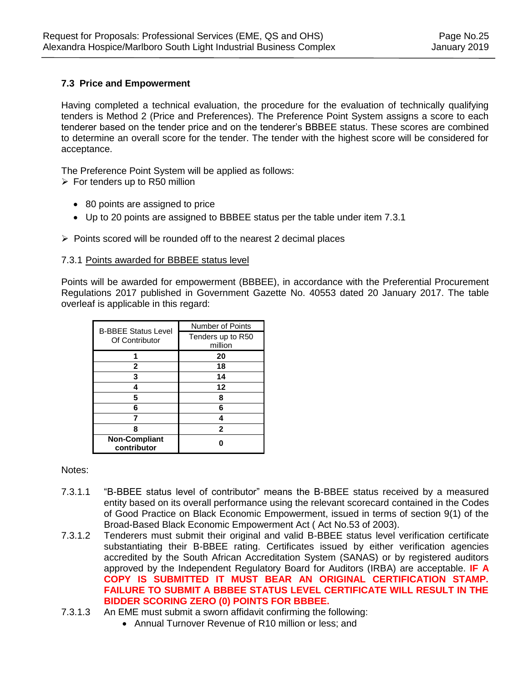## **7.3 Price and Empowerment**

Having completed a technical evaluation, the procedure for the evaluation of technically qualifying tenders is Method 2 (Price and Preferences). The Preference Point System assigns a score to each tenderer based on the tender price and on the tenderer's BBBEE status. These scores are combined to determine an overall score for the tender. The tender with the highest score will be considered for acceptance.

The Preference Point System will be applied as follows:

- $\triangleright$  For tenders up to R50 million
	- 80 points are assigned to price
	- Up to 20 points are assigned to BBBEE status per the table under item 7.3.1
- $\triangleright$  Points scored will be rounded off to the nearest 2 decimal places

#### 7.3.1 Points awarded for BBBEE status level

Points will be awarded for empowerment (BBBEE), in accordance with the Preferential Procurement Regulations 2017 published in Government Gazette No. 40553 dated 20 January 2017. The table overleaf is applicable in this regard:

| <b>B-BBEE Status Level</b> | <b>Number of Points</b> |  |
|----------------------------|-------------------------|--|
| Of Contributor             | Tenders up to R50       |  |
|                            | million                 |  |
|                            | 20                      |  |
| 2                          | 18                      |  |
| 3                          | 14                      |  |
| 4                          | 12<br>8                 |  |
| 5                          |                         |  |
| 6                          | 6                       |  |
|                            |                         |  |
| 8                          | $\mathbf{2}$            |  |
| <b>Non-Compliant</b>       |                         |  |
| contributor                |                         |  |

Notes:

- 7.3.1.1 "B-BBEE status level of contributor" means the B-BBEE status received by a measured entity based on its overall performance using the relevant scorecard contained in the Codes of Good Practice on Black Economic Empowerment, issued in terms of section 9(1) of the Broad-Based Black Economic Empowerment Act ( Act No.53 of 2003).
- 7.3.1.2 Tenderers must submit their original and valid B-BBEE status level verification certificate substantiating their B-BBEE rating. Certificates issued by either verification agencies accredited by the South African Accreditation System (SANAS) or by registered auditors approved by the Independent Regulatory Board for Auditors (IRBA) are acceptable. **IF A COPY IS SUBMITTED IT MUST BEAR AN ORIGINAL CERTIFICATION STAMP. FAILURE TO SUBMIT A BBBEE STATUS LEVEL CERTIFICATE WILL RESULT IN THE BIDDER SCORING ZERO (0) POINTS FOR BBBEE.**
- 7.3.1.3 An EME must submit a sworn affidavit confirming the following:
	- Annual Turnover Revenue of R10 million or less; and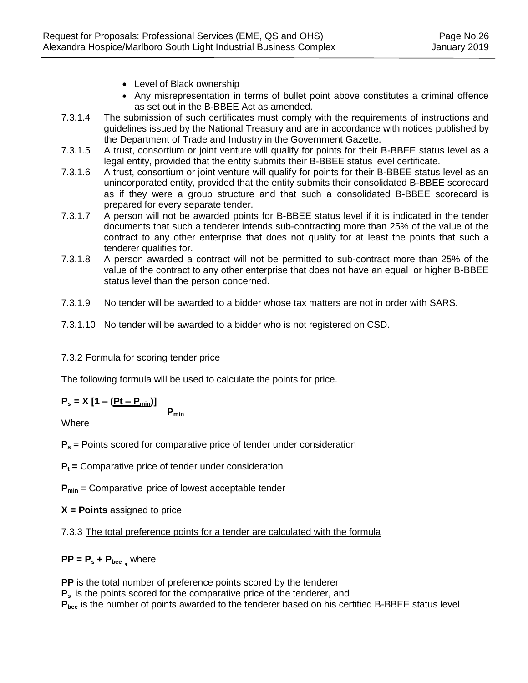- Level of Black ownership
- Any misrepresentation in terms of bullet point above constitutes a criminal offence as set out in the B-BBEE Act as amended.
- 7.3.1.4 The submission of such certificates must comply with the requirements of instructions and guidelines issued by the National Treasury and are in accordance with notices published by the Department of Trade and Industry in the Government Gazette.
- 7.3.1.5 A trust, consortium or joint venture will qualify for points for their B-BBEE status level as a legal entity, provided that the entity submits their B-BBEE status level certificate.
- 7.3.1.6 A trust, consortium or joint venture will qualify for points for their B-BBEE status level as an unincorporated entity, provided that the entity submits their consolidated B-BBEE scorecard as if they were a group structure and that such a consolidated B-BBEE scorecard is prepared for every separate tender.
- 7.3.1.7 A person will not be awarded points for B-BBEE status level if it is indicated in the tender documents that such a tenderer intends sub-contracting more than 25% of the value of the contract to any other enterprise that does not qualify for at least the points that such a tenderer qualifies for.
- 7.3.1.8 A person awarded a contract will not be permitted to sub-contract more than 25% of the value of the contract to any other enterprise that does not have an equal or higher B-BBEE status level than the person concerned.
- 7.3.1.9 No tender will be awarded to a bidder whose tax matters are not in order with SARS.
- 7.3.1.10 No tender will be awarded to a bidder who is not registered on CSD.

# 7.3.2 Formula for scoring tender price

The following formula will be used to calculate the points for price.

# $P_s = X [1 - (Pt - P_{min})]$

**Pmin**

Where

**P<sup>s</sup> =** Points scored for comparative price of tender under consideration

**P<sup>t</sup> =** Comparative price of tender under consideration

**Pmin** = Comparative price of lowest acceptable tender

**X = Points** assigned to price

7.3.3 The total preference points for a tender are calculated with the formula

# $PP = P_s + P_{bee}$ , where

**PP** is the total number of preference points scored by the tenderer **P<sup>s</sup>** is the points scored for the comparative price of the tenderer, and **Pbee** is the number of points awarded to the tenderer based on his certified B-BBEE status level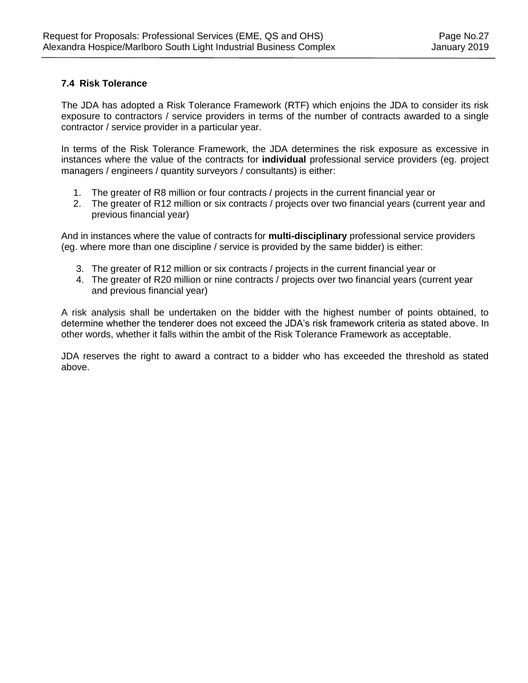## **7.4 Risk Tolerance**

The JDA has adopted a Risk Tolerance Framework (RTF) which enjoins the JDA to consider its risk exposure to contractors / service providers in terms of the number of contracts awarded to a single contractor / service provider in a particular year.

In terms of the Risk Tolerance Framework, the JDA determines the risk exposure as excessive in instances where the value of the contracts for **individual** professional service providers (eg. project managers / engineers / quantity surveyors / consultants) is either:

- 1. The greater of R8 million or four contracts / projects in the current financial year or
- 2. The greater of R12 million or six contracts / projects over two financial years (current year and previous financial year)

And in instances where the value of contracts for **multi-disciplinary** professional service providers (eg. where more than one discipline / service is provided by the same bidder) is either:

- 3. The greater of R12 million or six contracts / projects in the current financial year or
- 4. The greater of R20 million or nine contracts / projects over two financial years (current year and previous financial year)

A risk analysis shall be undertaken on the bidder with the highest number of points obtained, to determine whether the tenderer does not exceed the JDA's risk framework criteria as stated above. In other words, whether it falls within the ambit of the Risk Tolerance Framework as acceptable.

JDA reserves the right to award a contract to a bidder who has exceeded the threshold as stated above.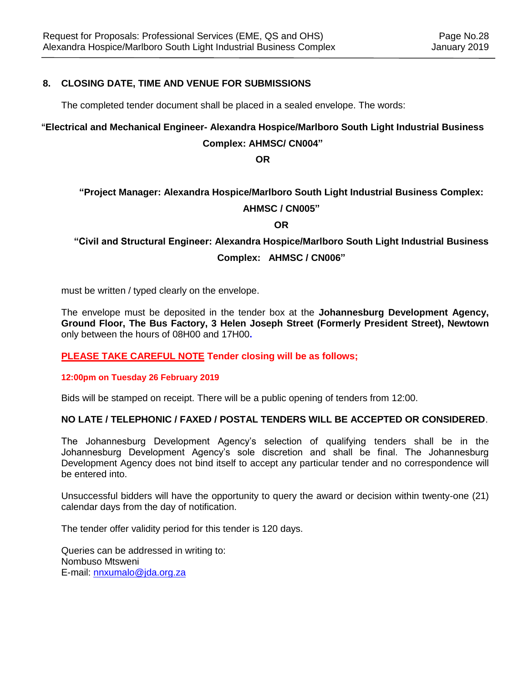## **8. CLOSING DATE, TIME AND VENUE FOR SUBMISSIONS**

The completed tender document shall be placed in a sealed envelope. The words:

## **"Electrical and Mechanical Engineer- Alexandra Hospice/Marlboro South Light Industrial Business**

#### **Complex: AHMSC/ CN004"**

**OR**

# **"Project Manager: Alexandra Hospice/Marlboro South Light Industrial Business Complex:**

## **AHMSC / CN005"**

**OR**

**"Civil and Structural Engineer: Alexandra Hospice/Marlboro South Light Industrial Business Complex: AHMSC / CN006"**

must be written / typed clearly on the envelope.

The envelope must be deposited in the tender box at the **Johannesburg Development Agency, Ground Floor, The Bus Factory, 3 Helen Joseph Street (Formerly President Street), Newtown**  only between the hours of 08H00 and 17H00**.**

#### **PLEASE TAKE CAREFUL NOTE Tender closing will be as follows;**

#### **12:00pm on Tuesday 26 February 2019**

Bids will be stamped on receipt. There will be a public opening of tenders from 12:00.

#### **NO LATE / TELEPHONIC / FAXED / POSTAL TENDERS WILL BE ACCEPTED OR CONSIDERED**.

The Johannesburg Development Agency's selection of qualifying tenders shall be in the Johannesburg Development Agency's sole discretion and shall be final. The Johannesburg Development Agency does not bind itself to accept any particular tender and no correspondence will be entered into.

Unsuccessful bidders will have the opportunity to query the award or decision within twenty-one (21) calendar days from the day of notification.

The tender offer validity period for this tender is 120 days.

Queries can be addressed in writing to: Nombuso Mtsweni E-mail: [nnxumalo@jda.org.za](mailto:nnxumalo@jda.org.za)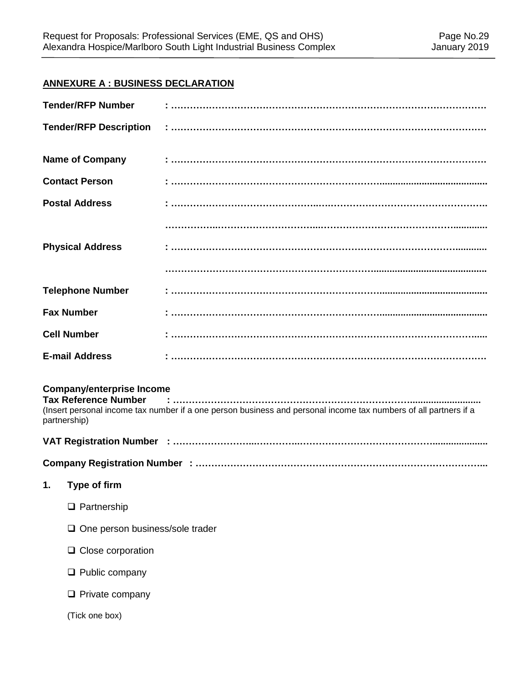# **ANNEXURE A : BUSINESS DECLARATION**

| <b>Tender/RFP Number</b>                                                        |                                                                                                                  |
|---------------------------------------------------------------------------------|------------------------------------------------------------------------------------------------------------------|
| <b>Tender/RFP Description</b>                                                   |                                                                                                                  |
| <b>Name of Company</b>                                                          |                                                                                                                  |
| <b>Contact Person</b>                                                           |                                                                                                                  |
| <b>Postal Address</b>                                                           |                                                                                                                  |
|                                                                                 |                                                                                                                  |
| <b>Physical Address</b>                                                         |                                                                                                                  |
|                                                                                 |                                                                                                                  |
| <b>Telephone Number</b>                                                         |                                                                                                                  |
| <b>Fax Number</b>                                                               |                                                                                                                  |
| <b>Cell Number</b>                                                              |                                                                                                                  |
| <b>E-mail Address</b>                                                           |                                                                                                                  |
| <b>Company/enterprise Income</b><br><b>Tax Reference Number</b><br>partnership) | (Insert personal income tax number if a one person business and personal income tax numbers of all partners if a |
|                                                                                 |                                                                                                                  |
|                                                                                 |                                                                                                                  |
| 1. Type of firm                                                                 |                                                                                                                  |
| $\Box$ Partnership                                                              |                                                                                                                  |
| $\Box$ One person business/sole trader                                          |                                                                                                                  |
| $\Box$ Close corporation                                                        |                                                                                                                  |
| $\Box$ Public company                                                           |                                                                                                                  |
| $\Box$ Private company                                                          |                                                                                                                  |
| (Tick one box)                                                                  |                                                                                                                  |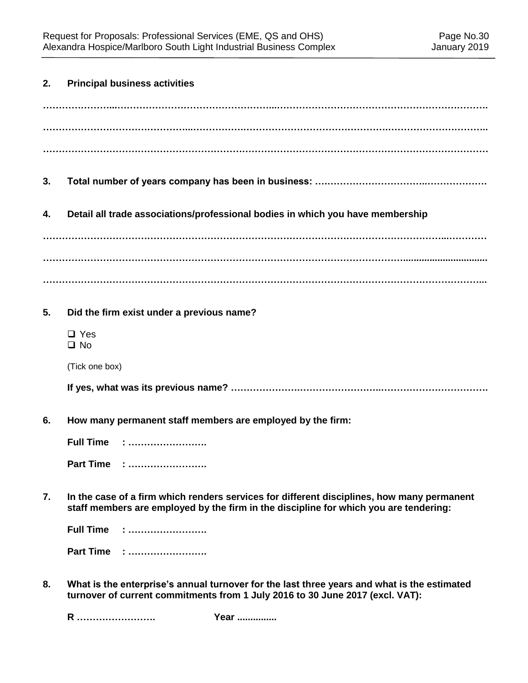| 2. | <b>Principal business activities</b>                                                                                                                                                |
|----|-------------------------------------------------------------------------------------------------------------------------------------------------------------------------------------|
|    |                                                                                                                                                                                     |
|    |                                                                                                                                                                                     |
| 3. |                                                                                                                                                                                     |
| 4. | Detail all trade associations/professional bodies in which you have membership                                                                                                      |
|    |                                                                                                                                                                                     |
|    |                                                                                                                                                                                     |
|    |                                                                                                                                                                                     |
| 5. | Did the firm exist under a previous name?                                                                                                                                           |
|    | $\Box$ Yes<br>$\square$ No                                                                                                                                                          |
|    | (Tick one box)                                                                                                                                                                      |
|    |                                                                                                                                                                                     |
| 6. | How many permanent staff members are employed by the firm:                                                                                                                          |
|    | <b>Full Time</b>                                                                                                                                                                    |
|    | Part Time :                                                                                                                                                                         |
| 7. | In the case of a firm which renders services for different disciplines, how many permanent<br>staff members are employed by the firm in the discipline for which you are tendering: |
|    | <b>Full Time</b>                                                                                                                                                                    |
|    | Part Time :                                                                                                                                                                         |
| 8. | What is the enterprise's annual turnover for the last three years and what is the estimated                                                                                         |

**R ……………………. Year ...............** 

**turnover of current commitments from 1 July 2016 to 30 June 2017 (excl. VAT):**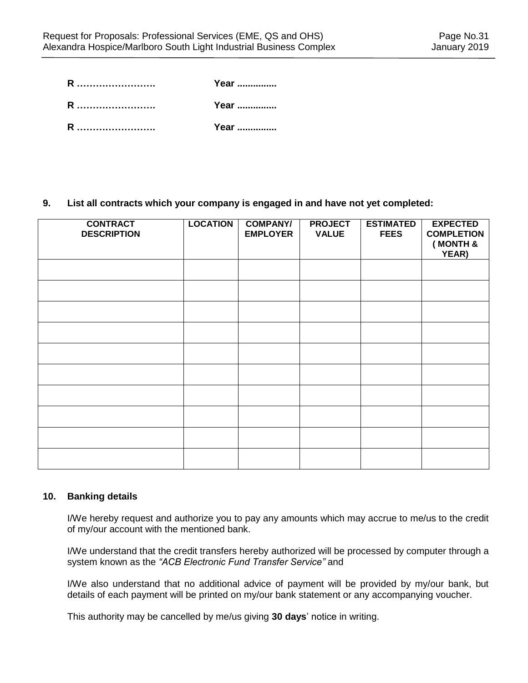| R | Year |
|---|------|
| R | Year |
| R | Year |

### **9. List all contracts which your company is engaged in and have not yet completed:**

| <b>CONTRACT</b><br><b>DESCRIPTION</b> | <b>LOCATION</b> | <b>COMPANY/</b><br><b>EMPLOYER</b> | <b>PROJECT</b><br><b>VALUE</b> | <b>ESTIMATED</b><br><b>FEES</b> | <b>EXPECTED</b><br><b>COMPLETION</b><br>(MONTH &<br>YEAR) |
|---------------------------------------|-----------------|------------------------------------|--------------------------------|---------------------------------|-----------------------------------------------------------|
|                                       |                 |                                    |                                |                                 |                                                           |
|                                       |                 |                                    |                                |                                 |                                                           |
|                                       |                 |                                    |                                |                                 |                                                           |
|                                       |                 |                                    |                                |                                 |                                                           |
|                                       |                 |                                    |                                |                                 |                                                           |
|                                       |                 |                                    |                                |                                 |                                                           |
|                                       |                 |                                    |                                |                                 |                                                           |
|                                       |                 |                                    |                                |                                 |                                                           |
|                                       |                 |                                    |                                |                                 |                                                           |
|                                       |                 |                                    |                                |                                 |                                                           |

#### **10. Banking details**

I/We hereby request and authorize you to pay any amounts which may accrue to me/us to the credit of my/our account with the mentioned bank.

I/We understand that the credit transfers hereby authorized will be processed by computer through a system known as the *"ACB Electronic Fund Transfer Service"* and

I/We also understand that no additional advice of payment will be provided by my/our bank, but details of each payment will be printed on my/our bank statement or any accompanying voucher.

This authority may be cancelled by me/us giving **30 days**' notice in writing.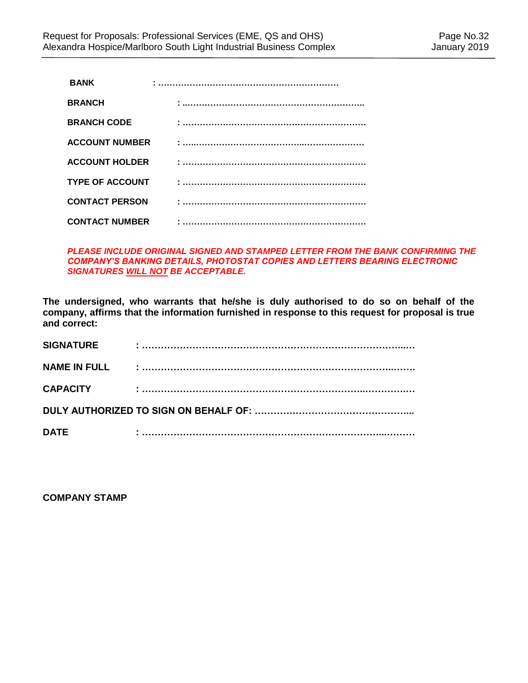| <b>BANK</b>            |  |
|------------------------|--|
| <b>BRANCH</b>          |  |
| <b>BRANCH CODE</b>     |  |
| <b>ACCOUNT NUMBER</b>  |  |
| <b>ACCOUNT HOLDER</b>  |  |
| <b>TYPE OF ACCOUNT</b> |  |
| <b>CONTACT PERSON</b>  |  |
| <b>CONTACT NUMBER</b>  |  |

#### *PLEASE INCLUDE ORIGINAL SIGNED AND STAMPED LETTER FROM THE BANK CONFIRMING THE COMPANY'S BANKING DETAILS, PHOTOSTAT COPIES AND LETTERS BEARING ELECTRONIC SIGNATURES WILL NOT BE ACCEPTABLE.*

**The undersigned, who warrants that he/she is duly authorised to do so on behalf of the company, affirms that the information furnished in response to this request for proposal is true and correct:**

| <b>SIGNATURE</b>    |  |
|---------------------|--|
| <b>NAME IN FULL</b> |  |
| <b>CAPACITY</b>     |  |
|                     |  |
| <b>DATE</b>         |  |

**COMPANY STAMP**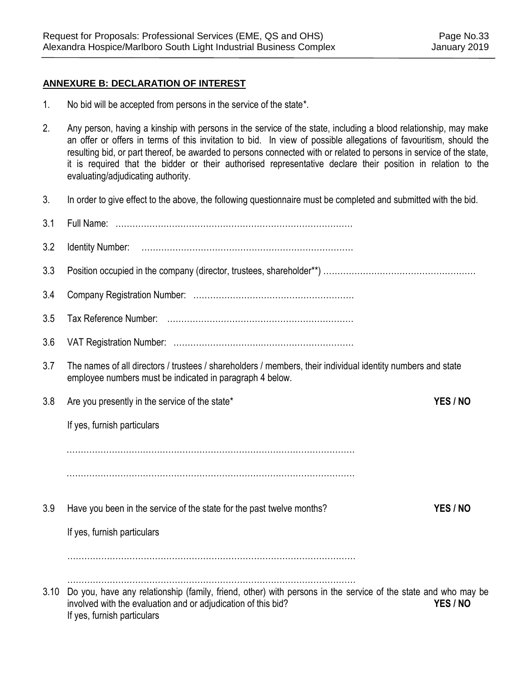## **ANNEXURE B: DECLARATION OF INTEREST**

- 1. No bid will be accepted from persons in the service of the state\*.
- 2. Any person, having a kinship with persons in the service of the state, including a blood relationship, may make an offer or offers in terms of this invitation to bid. In view of possible allegations of favouritism, should the resulting bid, or part thereof, be awarded to persons connected with or related to persons in service of the state, it is required that the bidder or their authorised representative declare their position in relation to the evaluating/adjudicating authority.
- 3. In order to give effect to the above, the following questionnaire must be completed and submitted with the bid.

| 3.1  |                                                                                                                                                                                                               |          |
|------|---------------------------------------------------------------------------------------------------------------------------------------------------------------------------------------------------------------|----------|
| 3.2  |                                                                                                                                                                                                               |          |
| 3.3  |                                                                                                                                                                                                               |          |
| 3.4  |                                                                                                                                                                                                               |          |
| 3.5  |                                                                                                                                                                                                               |          |
| 3.6  |                                                                                                                                                                                                               |          |
| 3.7  | The names of all directors / trustees / shareholders / members, their individual identity numbers and state<br>employee numbers must be indicated in paragraph 4 below.                                       |          |
| 3.8  | Are you presently in the service of the state*                                                                                                                                                                | YES / NO |
|      | If yes, furnish particulars                                                                                                                                                                                   |          |
|      |                                                                                                                                                                                                               |          |
|      |                                                                                                                                                                                                               |          |
| 3.9  | Have you been in the service of the state for the past twelve months?                                                                                                                                         | YES / NO |
|      | If yes, furnish particulars                                                                                                                                                                                   |          |
|      |                                                                                                                                                                                                               |          |
| 3.10 | Do you, have any relationship (family, friend, other) with persons in the service of the state and who may be<br>involved with the evaluation and or adjudication of this bid?<br>If yes, furnish particulars | YES / NO |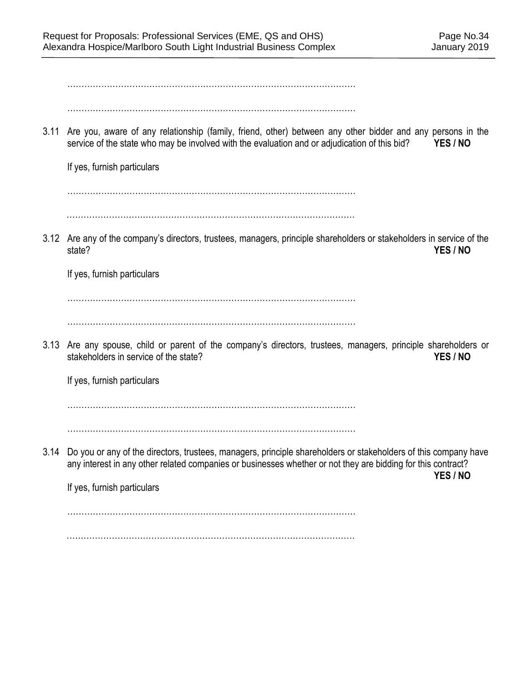………………………………………………………………………………………… …………………………………………………………………………………………

3.11 Are you, aware of any relationship (family, friend, other) between any other bidder and any persons in the service of the state who may be involved with the evaluation and or adjudication of this bid? **YES / NO** 

If yes, furnish particulars

…………………………………………………………………………………………

…………………………………………………………………………………………

3.12 Are any of the company's directors, trustees, managers, principle shareholders or stakeholders in service of the state? **YES / NO**

If yes, furnish particulars

…………………………………………………………………………………………

…………………………………………………………………………………………

3.13 Are any spouse, child or parent of the company's directors, trustees, managers, principle shareholders or stakeholders in service of the state? *YES / NO* 

If yes, furnish particulars

…………………………………………………………………………………………

…………………………………………………………………………………………

3.14 Do you or any of the directors, trustees, managers, principle shareholders or stakeholders of this company have any interest in any other related companies or businesses whether or not they are bidding for this contract?

**YES / NO**

If yes, furnish particulars

…………………………………………………………………………………………

…………………………………………………………………………………………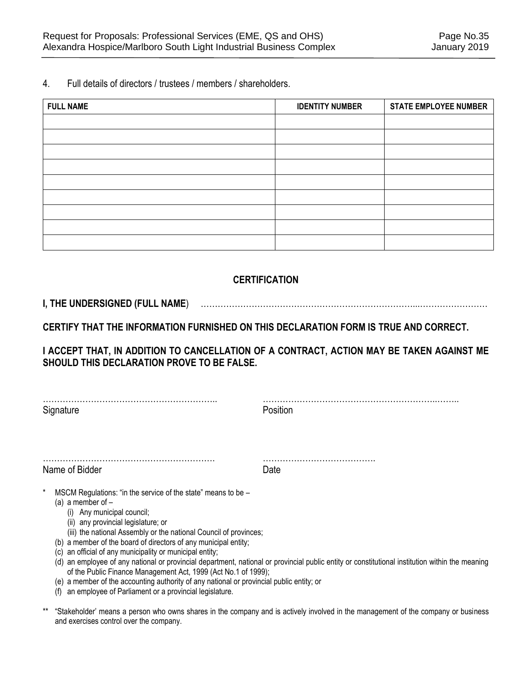4. Full details of directors / trustees / members / shareholders.

| <b>FULL NAME</b> | <b>IDENTITY NUMBER</b> | <b>STATE EMPLOYEE NUMBER</b> |
|------------------|------------------------|------------------------------|
|                  |                        |                              |
|                  |                        |                              |
|                  |                        |                              |
|                  |                        |                              |
|                  |                        |                              |
|                  |                        |                              |
|                  |                        |                              |
|                  |                        |                              |
|                  |                        |                              |

# **CERTIFICATION**

## **I, THE UNDERSIGNED (FULL NAME**) …………………………………………………………………...……………………

**CERTIFY THAT THE INFORMATION FURNISHED ON THIS DECLARATION FORM IS TRUE AND CORRECT.** 

**I ACCEPT THAT, IN ADDITION TO CANCELLATION OF A CONTRACT, ACTION MAY BE TAKEN AGAINST ME SHOULD THIS DECLARATION PROVE TO BE FALSE.** 

Signature **Position** 

…………………………………………………….. ……………………………………………………..……..

Name of Bidder **Date** 

……………………………………………………. ………………………………….

- MSCM Regulations: "in the service of the state" means to be  $-$ 
	- (a) a member of
		- (i) Any municipal council;
		- (ii) any provincial legislature; or
		- (iii) the national Assembly or the national Council of provinces;
	- (b) a member of the board of directors of any municipal entity;
	- (c) an official of any municipality or municipal entity;
	- (d) an employee of any national or provincial department, national or provincial public entity or constitutional institution within the meaning of the Public Finance Management Act, 1999 (Act No.1 of 1999);
	- (e) a member of the accounting authority of any national or provincial public entity; or
	- (f) an employee of Parliament or a provincial legislature.
- \*\* "Stakeholder' means a person who owns shares in the company and is actively involved in the management of the company or business and exercises control over the company.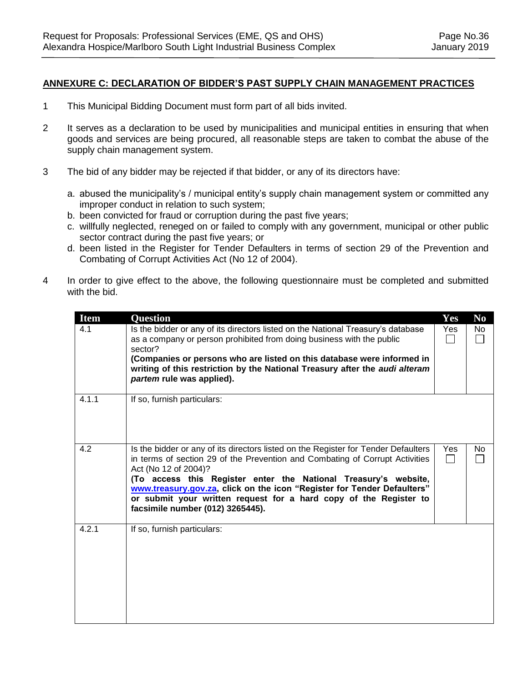#### **ANNEXURE C: DECLARATION OF BIDDER'S PAST SUPPLY CHAIN MANAGEMENT PRACTICES**

- 1 This Municipal Bidding Document must form part of all bids invited.
- 2 It serves as a declaration to be used by municipalities and municipal entities in ensuring that when goods and services are being procured, all reasonable steps are taken to combat the abuse of the supply chain management system.
- 3 The bid of any bidder may be rejected if that bidder, or any of its directors have:
	- a. abused the municipality's / municipal entity's supply chain management system or committed any improper conduct in relation to such system;
	- b. been convicted for fraud or corruption during the past five years;
	- c. willfully neglected, reneged on or failed to comply with any government, municipal or other public sector contract during the past five years; or
	- d. been listed in the Register for Tender Defaulters in terms of section 29 of the Prevention and Combating of Corrupt Activities Act (No 12 of 2004).
- 4 In order to give effect to the above, the following questionnaire must be completed and submitted with the bid.

| <b>Item</b> | <b>Question</b>                                                                                                                                                                                                                                                                                                                                                                                                                                   | Yes        | N <sub>0</sub>      |
|-------------|---------------------------------------------------------------------------------------------------------------------------------------------------------------------------------------------------------------------------------------------------------------------------------------------------------------------------------------------------------------------------------------------------------------------------------------------------|------------|---------------------|
| 4.1         | Is the bidder or any of its directors listed on the National Treasury's database<br>as a company or person prohibited from doing business with the public<br>sector?<br>(Companies or persons who are listed on this database were informed in<br>writing of this restriction by the National Treasury after the audi alteram<br>partem rule was applied).                                                                                        | Yes        | No.<br>$\mathsf{L}$ |
| 4.1.1       | If so, furnish particulars:                                                                                                                                                                                                                                                                                                                                                                                                                       |            |                     |
| 4.2         | Is the bidder or any of its directors listed on the Register for Tender Defaulters<br>in terms of section 29 of the Prevention and Combating of Corrupt Activities<br>Act (No 12 of 2004)?<br>(To access this Register enter the National Treasury's website,<br>www.treasury.gov.za, click on the icon "Register for Tender Defaulters"<br>or submit your written request for a hard copy of the Register to<br>facsimile number (012) 3265445). | <b>Yes</b> | No.                 |
| 4.2.1       | If so, furnish particulars:                                                                                                                                                                                                                                                                                                                                                                                                                       |            |                     |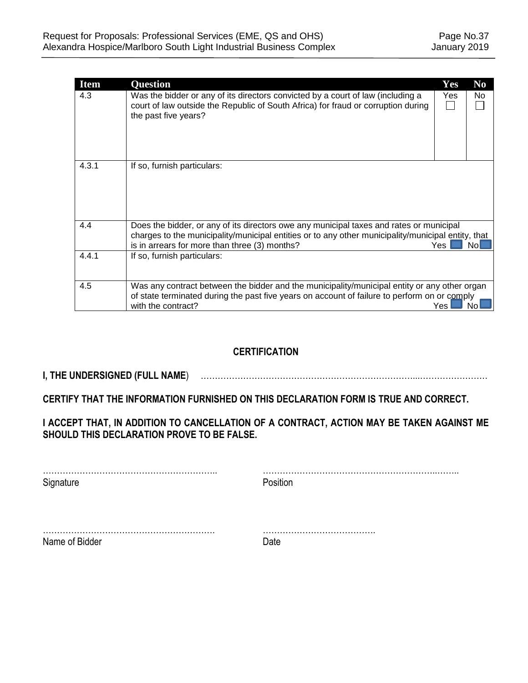| <b>Item</b> | <b>Ouestion</b>                                                                                                                                                                                                                                | Yes | N <sub>0</sub> |
|-------------|------------------------------------------------------------------------------------------------------------------------------------------------------------------------------------------------------------------------------------------------|-----|----------------|
| 4.3         | Was the bidder or any of its directors convicted by a court of law (including a<br>court of law outside the Republic of South Africa) for fraud or corruption during<br>the past five years?                                                   | Yes | No.            |
| 4.3.1       | If so, furnish particulars:                                                                                                                                                                                                                    |     |                |
| 4.4         | Does the bidder, or any of its directors owe any municipal taxes and rates or municipal<br>charges to the municipality/municipal entities or to any other municipality/municipal entity, that<br>is in arrears for more than three (3) months? | Yes | NoL            |
| 4.4.1       | If so, furnish particulars:                                                                                                                                                                                                                    |     |                |
| 4.5         | Was any contract between the bidder and the municipality/municipal entity or any other organ<br>of state terminated during the past five years on account of failure to perform on or comply<br>with the contract?                             | Yes | No.            |

# **CERTIFICATION**

**I, THE UNDERSIGNED (FULL NAME**) …………………………………………………………………...……………………

**CERTIFY THAT THE INFORMATION FURNISHED ON THIS DECLARATION FORM IS TRUE AND CORRECT.** 

**I ACCEPT THAT, IN ADDITION TO CANCELLATION OF A CONTRACT, ACTION MAY BE TAKEN AGAINST ME SHOULD THIS DECLARATION PROVE TO BE FALSE.** 

…………………………………………………….. ……………………………………………………..…….. Signature **Position** 

……………………………………………………. …………………………………. Name of Bidder **Date**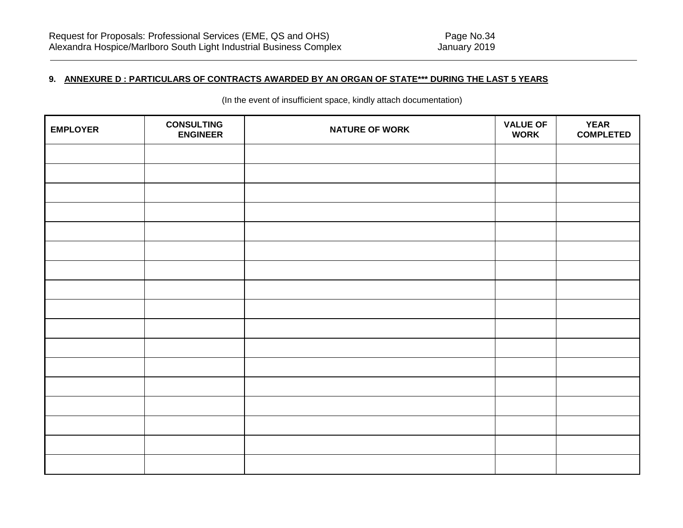## **9. ANNEXURE D : PARTICULARS OF CONTRACTS AWARDED BY AN ORGAN OF STATE\*\*\* DURING THE LAST 5 YEARS**

(In the event of insufficient space, kindly attach documentation)

| <b>EMPLOYER</b> | <b>CONSULTING</b><br><b>ENGINEER</b> | <b>NATURE OF WORK</b> | <b>VALUE OF</b><br><b>WORK</b> | <b>YEAR</b><br><b>COMPLETED</b> |
|-----------------|--------------------------------------|-----------------------|--------------------------------|---------------------------------|
|                 |                                      |                       |                                |                                 |
|                 |                                      |                       |                                |                                 |
|                 |                                      |                       |                                |                                 |
|                 |                                      |                       |                                |                                 |
|                 |                                      |                       |                                |                                 |
|                 |                                      |                       |                                |                                 |
|                 |                                      |                       |                                |                                 |
|                 |                                      |                       |                                |                                 |
|                 |                                      |                       |                                |                                 |
|                 |                                      |                       |                                |                                 |
|                 |                                      |                       |                                |                                 |
|                 |                                      |                       |                                |                                 |
|                 |                                      |                       |                                |                                 |
|                 |                                      |                       |                                |                                 |
|                 |                                      |                       |                                |                                 |
|                 |                                      |                       |                                |                                 |
|                 |                                      |                       |                                |                                 |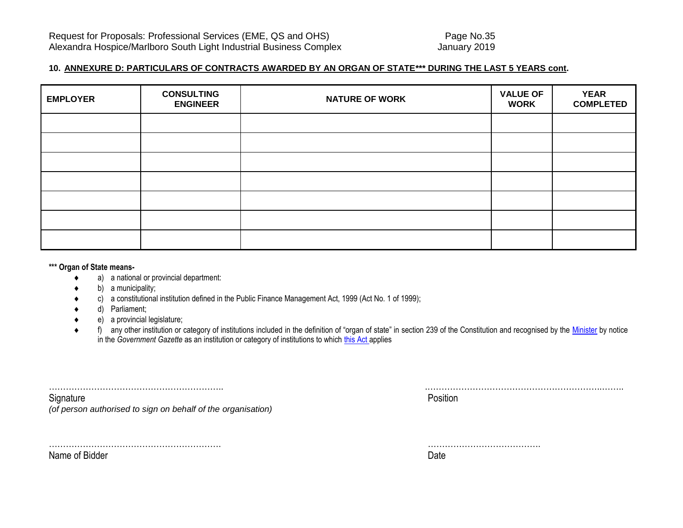### **10. ANNEXURE D: PARTICULARS OF CONTRACTS AWARDED BY AN ORGAN OF STATE\*\*\* DURING THE LAST 5 YEARS cont.**

| <b>EMPLOYER</b> | <b>CONSULTING</b><br><b>ENGINEER</b> | <b>NATURE OF WORK</b> | <b>VALUE OF</b><br><b>WORK</b> | <b>YEAR</b><br><b>COMPLETED</b> |
|-----------------|--------------------------------------|-----------------------|--------------------------------|---------------------------------|
|                 |                                      |                       |                                |                                 |
|                 |                                      |                       |                                |                                 |
|                 |                                      |                       |                                |                                 |
|                 |                                      |                       |                                |                                 |
|                 |                                      |                       |                                |                                 |
|                 |                                      |                       |                                |                                 |
|                 |                                      |                       |                                |                                 |

#### **\*\*\* Organ of State means-**

- a) a national or provincial department:
- b) a municipality;
- c) a constitutional institution defined in the Public Finance Management Act, 1999 (Act No. 1 of 1999);
- d) Parliament;
- e) a provincial legislature;
- ◆ f) any other institution or category of institutions included in the definition of "organ of state" in section 239 of the Constitution and recognised by the [Minister](javascript:void(0);) by notice in the *Government Gazette* as an institution or category of institutions to which [this Act](javascript:void(0);) applies

| Signature<br>(of person authorised to sign on behalf of the organisation) | Position |
|---------------------------------------------------------------------------|----------|
|                                                                           |          |

……………………………………………………. …………………………………. Name of Bidder **Date**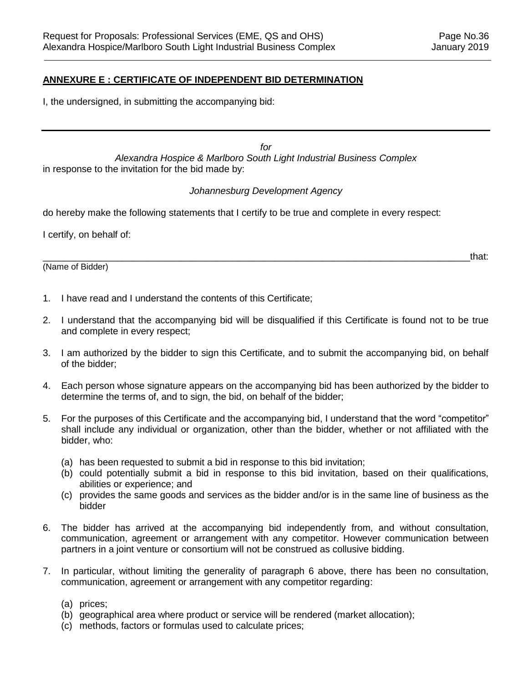#### **ANNEXURE E : CERTIFICATE OF INDEPENDENT BID DETERMINATION**

I, the undersigned, in submitting the accompanying bid:

*for Alexandra Hospice & Marlboro South Light Industrial Business Complex* in response to the invitation for the bid made by:

#### *Johannesburg Development Agency*

do hereby make the following statements that I certify to be true and complete in every respect:

I certify, on behalf of:

(Name of Bidder)

\_\_\_\_\_\_\_\_\_\_\_\_\_\_\_\_\_\_\_\_\_\_\_\_\_\_\_\_\_\_\_\_\_\_\_\_\_\_\_\_\_\_\_\_\_\_\_\_\_\_\_\_\_\_\_\_\_\_\_\_\_\_\_\_\_\_\_\_\_\_\_\_\_\_\_\_\_\_\_\_\_that:

- 1. I have read and I understand the contents of this Certificate;
- 2. I understand that the accompanying bid will be disqualified if this Certificate is found not to be true and complete in every respect;
- 3. I am authorized by the bidder to sign this Certificate, and to submit the accompanying bid, on behalf of the bidder;
- 4. Each person whose signature appears on the accompanying bid has been authorized by the bidder to determine the terms of, and to sign, the bid, on behalf of the bidder;
- 5. For the purposes of this Certificate and the accompanying bid, I understand that the word "competitor" shall include any individual or organization, other than the bidder, whether or not affiliated with the bidder, who:
	- (a) has been requested to submit a bid in response to this bid invitation;
	- (b) could potentially submit a bid in response to this bid invitation, based on their qualifications, abilities or experience; and
	- (c) provides the same goods and services as the bidder and/or is in the same line of business as the bidder
- 6. The bidder has arrived at the accompanying bid independently from, and without consultation, communication, agreement or arrangement with any competitor. However communication between partners in a joint venture or consortium will not be construed as collusive bidding.
- 7. In particular, without limiting the generality of paragraph 6 above, there has been no consultation, communication, agreement or arrangement with any competitor regarding:
	- (a) prices;
	- (b) geographical area where product or service will be rendered (market allocation);
	- (c) methods, factors or formulas used to calculate prices;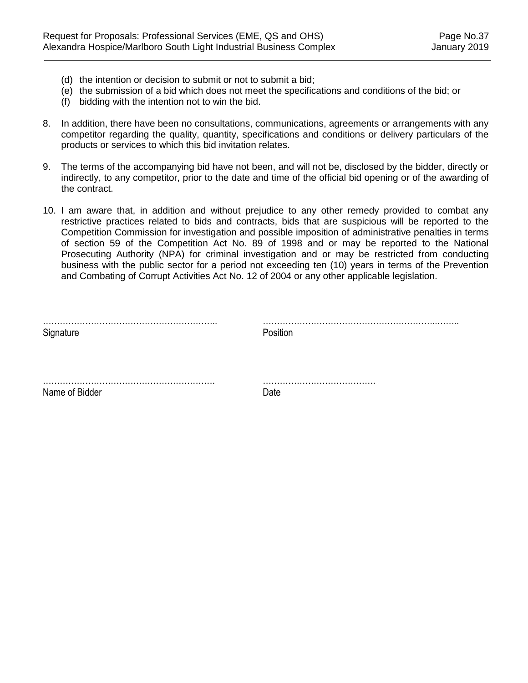- (d) the intention or decision to submit or not to submit a bid;
- (e) the submission of a bid which does not meet the specifications and conditions of the bid; or
- (f) bidding with the intention not to win the bid.
- 8. In addition, there have been no consultations, communications, agreements or arrangements with any competitor regarding the quality, quantity, specifications and conditions or delivery particulars of the products or services to which this bid invitation relates.
- 9. The terms of the accompanying bid have not been, and will not be, disclosed by the bidder, directly or indirectly, to any competitor, prior to the date and time of the official bid opening or of the awarding of the contract.
- 10. I am aware that, in addition and without prejudice to any other remedy provided to combat any restrictive practices related to bids and contracts, bids that are suspicious will be reported to the Competition Commission for investigation and possible imposition of administrative penalties in terms of section 59 of the Competition Act No. 89 of 1998 and or may be reported to the National Prosecuting Authority (NPA) for criminal investigation and or may be restricted from conducting business with the public sector for a period not exceeding ten (10) years in terms of the Prevention and Combating of Corrupt Activities Act No. 12 of 2004 or any other applicable legislation.

| Signature      | Position |
|----------------|----------|
|                |          |
| Name of Bidder | Date     |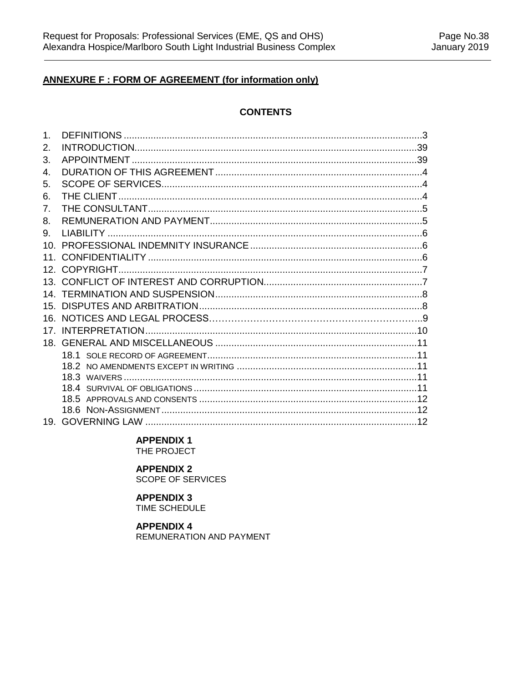# **ANNEXURE F : FORM OF AGREEMENT (for information only)**

#### **CONTENTS**

| 1.              |  |
|-----------------|--|
| 2.              |  |
| 3.              |  |
| 4.              |  |
| 5.              |  |
| 6.              |  |
| 7 <sub>1</sub>  |  |
| 8.              |  |
| 9.              |  |
| 10              |  |
| 11.             |  |
|                 |  |
|                 |  |
|                 |  |
| 15 <sub>1</sub> |  |
|                 |  |
| 17              |  |
|                 |  |
|                 |  |
|                 |  |
|                 |  |
|                 |  |
|                 |  |
|                 |  |
|                 |  |

#### **APPENDIX 1**

THE PROJECT

## **APPENDIX 2**

SCOPE OF SERVICES

## **APPENDIX 3**

TIME SCHEDULE

## **APPENDIX 4**

REMUNERATION AND PAYMENT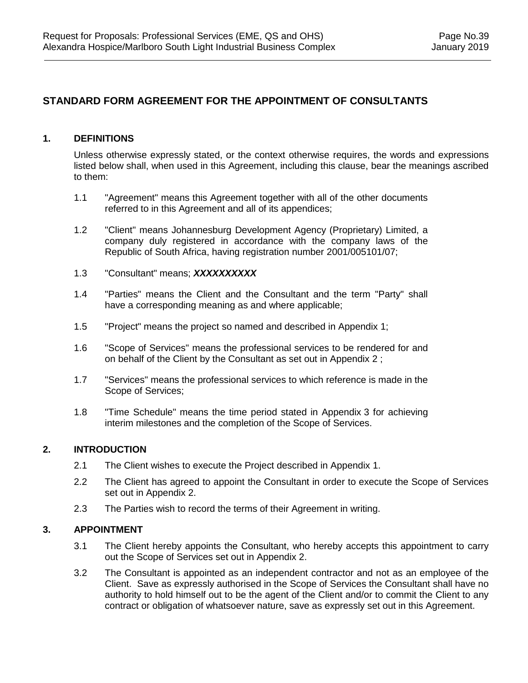# **STANDARD FORM AGREEMENT FOR THE APPOINTMENT OF CONSULTANTS**

#### **1. DEFINITIONS**

Unless otherwise expressly stated, or the context otherwise requires, the words and expressions listed below shall, when used in this Agreement, including this clause, bear the meanings ascribed to them:

- 1.1 "Agreement" means this Agreement together with all of the other documents referred to in this Agreement and all of its appendices;
- 1.2 "Client" means Johannesburg Development Agency (Proprietary) Limited, a company duly registered in accordance with the company laws of the Republic of South Africa, having registration number 2001/005101/07;
- 1.3 "Consultant" means; *XXXXXXXXXX*
- 1.4 "Parties" means the Client and the Consultant and the term "Party" shall have a corresponding meaning as and where applicable;
- 1.5 "Project" means the project so named and described in Appendix 1;
- 1.6 "Scope of Services" means the professional services to be rendered for and on behalf of the Client by the Consultant as set out in Appendix 2 ;
- 1.7 "Services" means the professional services to which reference is made in the Scope of Services;
- 1.8 "Time Schedule" means the time period stated in Appendix 3 for achieving interim milestones and the completion of the Scope of Services.

#### **2. INTRODUCTION**

- 2.1 The Client wishes to execute the Project described in Appendix 1.
- 2.2 The Client has agreed to appoint the Consultant in order to execute the Scope of Services set out in Appendix 2.
- 2.3 The Parties wish to record the terms of their Agreement in writing.

#### **3. APPOINTMENT**

- 3.1 The Client hereby appoints the Consultant, who hereby accepts this appointment to carry out the Scope of Services set out in Appendix 2.
- 3.2 The Consultant is appointed as an independent contractor and not as an employee of the Client. Save as expressly authorised in the Scope of Services the Consultant shall have no authority to hold himself out to be the agent of the Client and/or to commit the Client to any contract or obligation of whatsoever nature, save as expressly set out in this Agreement.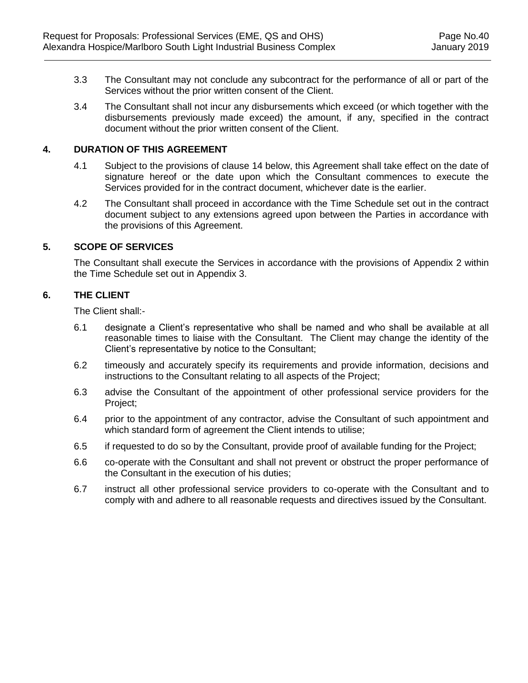- 3.3 The Consultant may not conclude any subcontract for the performance of all or part of the Services without the prior written consent of the Client.
- 3.4 The Consultant shall not incur any disbursements which exceed (or which together with the disbursements previously made exceed) the amount, if any, specified in the contract document without the prior written consent of the Client.

## **4. DURATION OF THIS AGREEMENT**

- 4.1 Subject to the provisions of clause [14](#page-46-0) below, this Agreement shall take effect on the date of signature hereof or the date upon which the Consultant commences to execute the Services provided for in the contract document, whichever date is the earlier.
- 4.2 The Consultant shall proceed in accordance with the Time Schedule set out in the contract document subject to any extensions agreed upon between the Parties in accordance with the provisions of this Agreement.

## **5. SCOPE OF SERVICES**

The Consultant shall execute the Services in accordance with the provisions of Appendix 2 within the Time Schedule set out in Appendix 3.

## **6. THE CLIENT**

The Client shall:-

- 6.1 designate a Client's representative who shall be named and who shall be available at all reasonable times to liaise with the Consultant. The Client may change the identity of the Client's representative by notice to the Consultant;
- 6.2 timeously and accurately specify its requirements and provide information, decisions and instructions to the Consultant relating to all aspects of the Project;
- 6.3 advise the Consultant of the appointment of other professional service providers for the Project;
- 6.4 prior to the appointment of any contractor, advise the Consultant of such appointment and which standard form of agreement the Client intends to utilise;
- 6.5 if requested to do so by the Consultant, provide proof of available funding for the Project;
- 6.6 co-operate with the Consultant and shall not prevent or obstruct the proper performance of the Consultant in the execution of his duties;
- 6.7 instruct all other professional service providers to co-operate with the Consultant and to comply with and adhere to all reasonable requests and directives issued by the Consultant.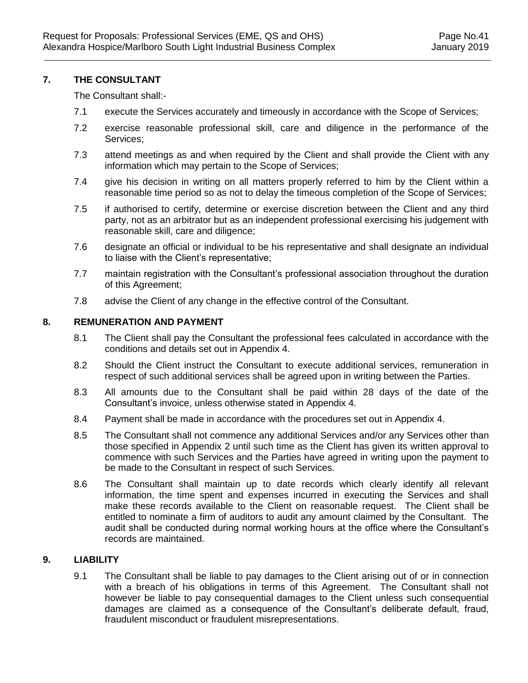#### **7. THE CONSULTANT**

The Consultant shall:-

- 7.1 execute the Services accurately and timeously in accordance with the Scope of Services;
- 7.2 exercise reasonable professional skill, care and diligence in the performance of the Services;
- 7.3 attend meetings as and when required by the Client and shall provide the Client with any information which may pertain to the Scope of Services;
- 7.4 give his decision in writing on all matters properly referred to him by the Client within a reasonable time period so as not to delay the timeous completion of the Scope of Services;
- 7.5 if authorised to certify, determine or exercise discretion between the Client and any third party, not as an arbitrator but as an independent professional exercising his judgement with reasonable skill, care and diligence;
- 7.6 designate an official or individual to be his representative and shall designate an individual to liaise with the Client's representative;
- 7.7 maintain registration with the Consultant's professional association throughout the duration of this Agreement;
- 7.8 advise the Client of any change in the effective control of the Consultant.

#### **8. REMUNERATION AND PAYMENT**

- 8.1 The Client shall pay the Consultant the professional fees calculated in accordance with the conditions and details set out in Appendix 4.
- 8.2 Should the Client instruct the Consultant to execute additional services, remuneration in respect of such additional services shall be agreed upon in writing between the Parties.
- 8.3 All amounts due to the Consultant shall be paid within 28 days of the date of the Consultant's invoice, unless otherwise stated in Appendix 4.
- 8.4 Payment shall be made in accordance with the procedures set out in Appendix 4.
- 8.5 The Consultant shall not commence any additional Services and/or any Services other than those specified in Appendix 2 until such time as the Client has given its written approval to commence with such Services and the Parties have agreed in writing upon the payment to be made to the Consultant in respect of such Services.
- 8.6 The Consultant shall maintain up to date records which clearly identify all relevant information, the time spent and expenses incurred in executing the Services and shall make these records available to the Client on reasonable request. The Client shall be entitled to nominate a firm of auditors to audit any amount claimed by the Consultant. The audit shall be conducted during normal working hours at the office where the Consultant's records are maintained.

## **9. LIABILITY**

9.1 The Consultant shall be liable to pay damages to the Client arising out of or in connection with a breach of his obligations in terms of this Agreement. The Consultant shall not however be liable to pay consequential damages to the Client unless such consequential damages are claimed as a consequence of the Consultant's deliberate default, fraud, fraudulent misconduct or fraudulent misrepresentations.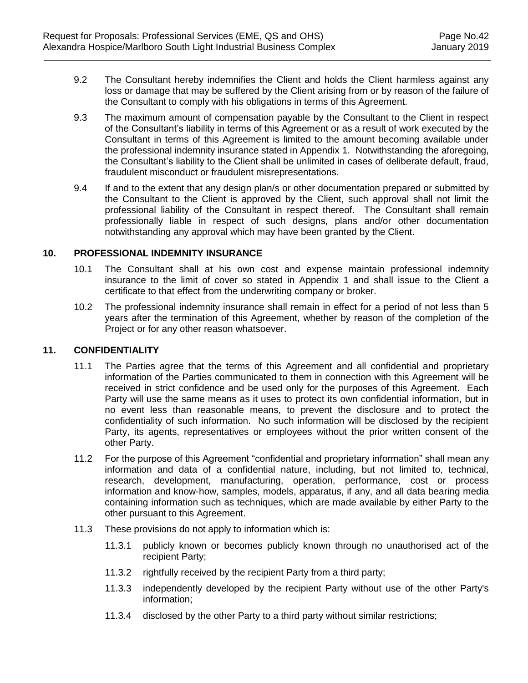- 9.2 The Consultant hereby indemnifies the Client and holds the Client harmless against any loss or damage that may be suffered by the Client arising from or by reason of the failure of the Consultant to comply with his obligations in terms of this Agreement.
- 9.3 The maximum amount of compensation payable by the Consultant to the Client in respect of the Consultant's liability in terms of this Agreement or as a result of work executed by the Consultant in terms of this Agreement is limited to the amount becoming available under the professional indemnity insurance stated in Appendix 1. Notwithstanding the aforegoing, the Consultant's liability to the Client shall be unlimited in cases of deliberate default, fraud, fraudulent misconduct or fraudulent misrepresentations.
- 9.4 If and to the extent that any design plan/s or other documentation prepared or submitted by the Consultant to the Client is approved by the Client, such approval shall not limit the professional liability of the Consultant in respect thereof. The Consultant shall remain professionally liable in respect of such designs, plans and/or other documentation notwithstanding any approval which may have been granted by the Client.

#### **10. PROFESSIONAL INDEMNITY INSURANCE**

- 10.1 The Consultant shall at his own cost and expense maintain professional indemnity insurance to the limit of cover so stated in Appendix 1 and shall issue to the Client a certificate to that effect from the underwriting company or broker.
- 10.2 The professional indemnity insurance shall remain in effect for a period of not less than 5 years after the termination of this Agreement, whether by reason of the completion of the Project or for any other reason whatsoever.

#### <span id="page-45-1"></span><span id="page-45-0"></span>**11. CONFIDENTIALITY**

- 11.1 The Parties agree that the terms of this Agreement and all confidential and proprietary information of the Parties communicated to them in connection with this Agreement will be received in strict confidence and be used only for the purposes of this Agreement. Each Party will use the same means as it uses to protect its own confidential information, but in no event less than reasonable means, to prevent the disclosure and to protect the confidentiality of such information. No such information will be disclosed by the recipient Party, its agents, representatives or employees without the prior written consent of the other Party.
- 11.2 For the purpose of this Agreement "confidential and proprietary information" shall mean any information and data of a confidential nature, including, but not limited to, technical, research, development, manufacturing, operation, performance, cost or process information and know-how, samples, models, apparatus, if any, and all data bearing media containing information such as techniques, which are made available by either Party to the other pursuant to this Agreement.
- 11.3 These provisions do not apply to information which is:
	- 11.3.1 publicly known or becomes publicly known through no unauthorised act of the recipient Party;
	- 11.3.2 rightfully received by the recipient Party from a third party;
	- 11.3.3 independently developed by the recipient Party without use of the other Party's information;
	- 11.3.4 disclosed by the other Party to a third party without similar restrictions;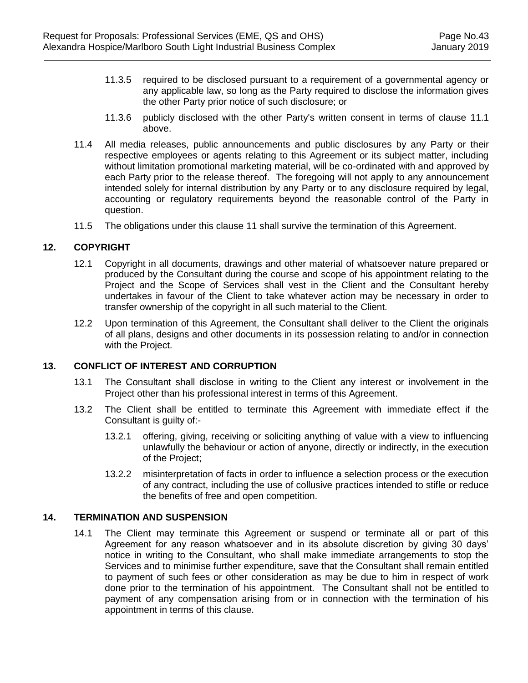- 11.3.5 required to be disclosed pursuant to a requirement of a governmental agency or any applicable law, so long as the Party required to disclose the information gives the other Party prior notice of such disclosure; or
- 11.3.6 publicly disclosed with the other Party's written consent in terms of clause [11.1](#page-45-0)  [above.](#page-45-0)
- 11.4 All media releases, public announcements and public disclosures by any Party or their respective employees or agents relating to this Agreement or its subject matter, including without limitation promotional marketing material, will be co-ordinated with and approved by each Party prior to the release thereof. The foregoing will not apply to any announcement intended solely for internal distribution by any Party or to any disclosure required by legal, accounting or regulatory requirements beyond the reasonable control of the Party in question.
- 11.5 The obligations under this clause [11](#page-45-1) shall survive the termination of this Agreement.

#### **12. COPYRIGHT**

- 12.1 Copyright in all documents, drawings and other material of whatsoever nature prepared or produced by the Consultant during the course and scope of his appointment relating to the Project and the Scope of Services shall vest in the Client and the Consultant hereby undertakes in favour of the Client to take whatever action may be necessary in order to transfer ownership of the copyright in all such material to the Client.
- 12.2 Upon termination of this Agreement, the Consultant shall deliver to the Client the originals of all plans, designs and other documents in its possession relating to and/or in connection with the Project.

#### **13. CONFLICT OF INTEREST AND CORRUPTION**

- 13.1 The Consultant shall disclose in writing to the Client any interest or involvement in the Project other than his professional interest in terms of this Agreement.
- 13.2 The Client shall be entitled to terminate this Agreement with immediate effect if the Consultant is guilty of:-
	- 13.2.1 offering, giving, receiving or soliciting anything of value with a view to influencing unlawfully the behaviour or action of anyone, directly or indirectly, in the execution of the Project;
	- 13.2.2 misinterpretation of facts in order to influence a selection process or the execution of any contract, including the use of collusive practices intended to stifle or reduce the benefits of free and open competition.

#### <span id="page-46-0"></span>**14. TERMINATION AND SUSPENSION**

14.1 The Client may terminate this Agreement or suspend or terminate all or part of this Agreement for any reason whatsoever and in its absolute discretion by giving 30 days' notice in writing to the Consultant, who shall make immediate arrangements to stop the Services and to minimise further expenditure, save that the Consultant shall remain entitled to payment of such fees or other consideration as may be due to him in respect of work done prior to the termination of his appointment. The Consultant shall not be entitled to payment of any compensation arising from or in connection with the termination of his appointment in terms of this clause.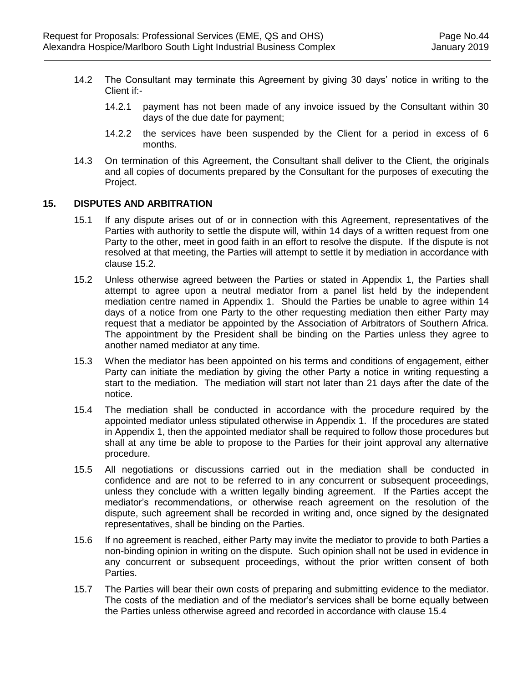- 14.2 The Consultant may terminate this Agreement by giving 30 days' notice in writing to the Client if:-
	- 14.2.1 payment has not been made of any invoice issued by the Consultant within 30 days of the due date for payment;
	- 14.2.2 the services have been suspended by the Client for a period in excess of 6 months.
- 14.3 On termination of this Agreement, the Consultant shall deliver to the Client, the originals and all copies of documents prepared by the Consultant for the purposes of executing the Project.

#### **15. DISPUTES AND ARBITRATION**

- 15.1 If any dispute arises out of or in connection with this Agreement, representatives of the Parties with authority to settle the dispute will, within 14 days of a written request from one Party to the other, meet in good faith in an effort to resolve the dispute. If the dispute is not resolved at that meeting, the Parties will attempt to settle it by mediation in accordance with clause [15.2.](#page-47-0)
- <span id="page-47-0"></span>15.2 Unless otherwise agreed between the Parties or stated in Appendix 1, the Parties shall attempt to agree upon a neutral mediator from a panel list held by the independent mediation centre named in Appendix 1. Should the Parties be unable to agree within 14 days of a notice from one Party to the other requesting mediation then either Party may request that a mediator be appointed by the Association of Arbitrators of Southern Africa. The appointment by the President shall be binding on the Parties unless they agree to another named mediator at any time.
- 15.3 When the mediator has been appointed on his terms and conditions of engagement, either Party can initiate the mediation by giving the other Party a notice in writing requesting a start to the mediation. The mediation will start not later than 21 days after the date of the notice.
- 15.4 The mediation shall be conducted in accordance with the procedure required by the appointed mediator unless stipulated otherwise in Appendix 1. If the procedures are stated in Appendix 1, then the appointed mediator shall be required to follow those procedures but shall at any time be able to propose to the Parties for their joint approval any alternative procedure.
- 15.5 All negotiations or discussions carried out in the mediation shall be conducted in confidence and are not to be referred to in any concurrent or subsequent proceedings, unless they conclude with a written legally binding agreement. If the Parties accept the mediator's recommendations, or otherwise reach agreement on the resolution of the dispute, such agreement shall be recorded in writing and, once signed by the designated representatives, shall be binding on the Parties.
- 15.6 If no agreement is reached, either Party may invite the mediator to provide to both Parties a non-binding opinion in writing on the dispute. Such opinion shall not be used in evidence in any concurrent or subsequent proceedings, without the prior written consent of both Parties.
- 15.7 The Parties will bear their own costs of preparing and submitting evidence to the mediator. The costs of the mediation and of the mediator's services shall be borne equally between the Parties unless otherwise agreed and recorded in accordance with clause 15.4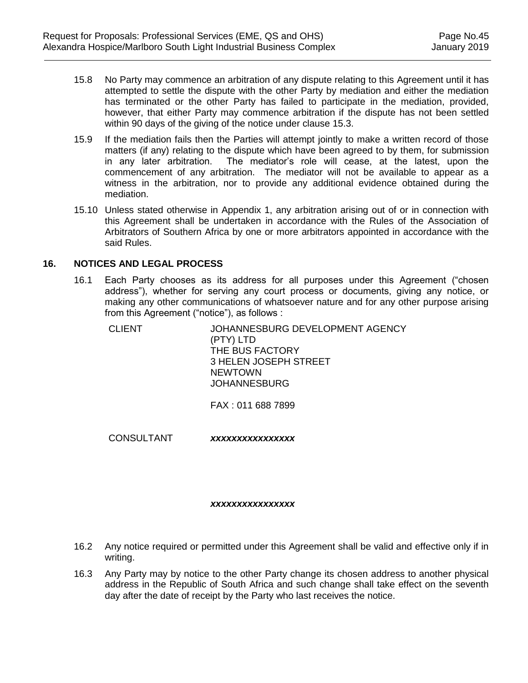- 15.8 No Party may commence an arbitration of any dispute relating to this Agreement until it has attempted to settle the dispute with the other Party by mediation and either the mediation has terminated or the other Party has failed to participate in the mediation, provided, however, that either Party may commence arbitration if the dispute has not been settled within 90 days of the giving of the notice under clause 15.3.
- 15.9 If the mediation fails then the Parties will attempt jointly to make a written record of those matters (if any) relating to the dispute which have been agreed to by them, for submission in any later arbitration. The mediator's role will cease, at the latest, upon the commencement of any arbitration. The mediator will not be available to appear as a witness in the arbitration, nor to provide any additional evidence obtained during the mediation.
- 15.10 Unless stated otherwise in Appendix 1, any arbitration arising out of or in connection with this Agreement shall be undertaken in accordance with the Rules of the Association of Arbitrators of Southern Africa by one or more arbitrators appointed in accordance with the said Rules.

#### **16. NOTICES AND LEGAL PROCESS**

16.1 Each Party chooses as its address for all purposes under this Agreement ("chosen address"), whether for serving any court process or documents, giving any notice, or making any other communications of whatsoever nature and for any other purpose arising from this Agreement ("notice"), as follows :

| CLIENT | JOHANNESBURG DEVELOPMENT AGENCY |
|--------|---------------------------------|
|        | (PTY) LTD                       |
|        | THE BUS FACTORY                 |
|        | 3 HELEN JOSEPH STREET           |
|        | <b>NEWTOWN</b>                  |
|        | <b>JOHANNESBURG</b>             |
|        |                                 |

FAX : 011 688 7899

CONSULTANT *xxxxxxxxxxxxxxxx*

#### *xxxxxxxxxxxxxxxx*

- 16.2 Any notice required or permitted under this Agreement shall be valid and effective only if in writing.
- 16.3 Any Party may by notice to the other Party change its chosen address to another physical address in the Republic of South Africa and such change shall take effect on the seventh day after the date of receipt by the Party who last receives the notice.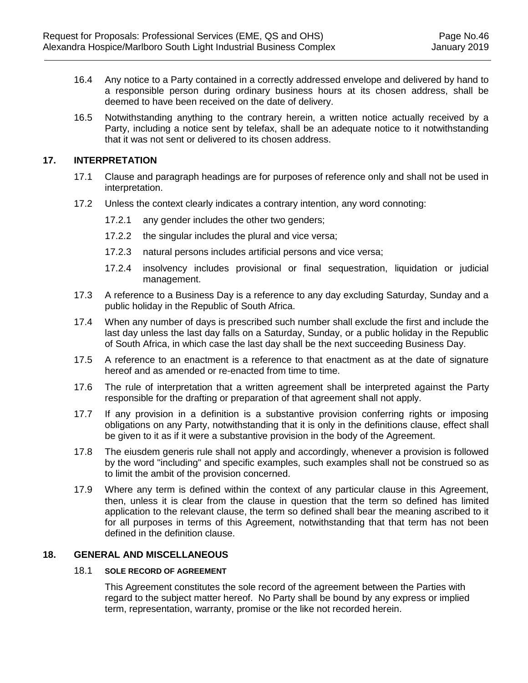- 16.4 Any notice to a Party contained in a correctly addressed envelope and delivered by hand to a responsible person during ordinary business hours at its chosen address, shall be deemed to have been received on the date of delivery.
- 16.5 Notwithstanding anything to the contrary herein, a written notice actually received by a Party, including a notice sent by telefax, shall be an adequate notice to it notwithstanding that it was not sent or delivered to its chosen address.

#### **17. INTERPRETATION**

- 17.1 Clause and paragraph headings are for purposes of reference only and shall not be used in interpretation.
- 17.2 Unless the context clearly indicates a contrary intention, any word connoting:
	- 17.2.1 any gender includes the other two genders;
	- 17.2.2 the singular includes the plural and vice versa;
	- 17.2.3 natural persons includes artificial persons and vice versa;
	- 17.2.4 insolvency includes provisional or final sequestration, liquidation or judicial management.
- 17.3 A reference to a Business Day is a reference to any day excluding Saturday, Sunday and a public holiday in the Republic of South Africa.
- 17.4 When any number of days is prescribed such number shall exclude the first and include the last day unless the last day falls on a Saturday, Sunday, or a public holiday in the Republic of South Africa, in which case the last day shall be the next succeeding Business Day.
- 17.5 A reference to an enactment is a reference to that enactment as at the date of signature hereof and as amended or re-enacted from time to time.
- 17.6 The rule of interpretation that a written agreement shall be interpreted against the Party responsible for the drafting or preparation of that agreement shall not apply.
- 17.7 If any provision in a definition is a substantive provision conferring rights or imposing obligations on any Party, notwithstanding that it is only in the definitions clause, effect shall be given to it as if it were a substantive provision in the body of the Agreement.
- 17.8 The eiusdem generis rule shall not apply and accordingly, whenever a provision is followed by the word "including" and specific examples, such examples shall not be construed so as to limit the ambit of the provision concerned.
- 17.9 Where any term is defined within the context of any particular clause in this Agreement, then, unless it is clear from the clause in question that the term so defined has limited application to the relevant clause, the term so defined shall bear the meaning ascribed to it for all purposes in terms of this Agreement, notwithstanding that that term has not been defined in the definition clause.

## **18. GENERAL AND MISCELLANEOUS**

#### 18.1 **SOLE RECORD OF AGREEMENT**

This Agreement constitutes the sole record of the agreement between the Parties with regard to the subject matter hereof. No Party shall be bound by any express or implied term, representation, warranty, promise or the like not recorded herein.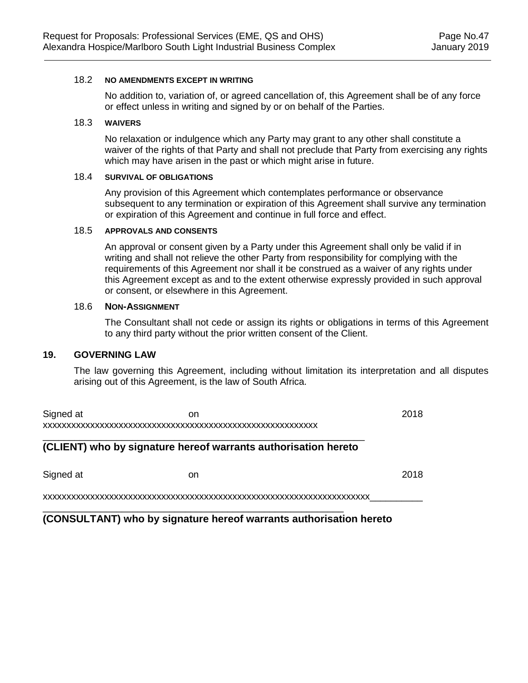#### 18.2 **NO AMENDMENTS EXCEPT IN WRITING**

No addition to, variation of, or agreed cancellation of, this Agreement shall be of any force or effect unless in writing and signed by or on behalf of the Parties.

#### 18.3 **WAIVERS**

No relaxation or indulgence which any Party may grant to any other shall constitute a waiver of the rights of that Party and shall not preclude that Party from exercising any rights which may have arisen in the past or which might arise in future.

#### 18.4 **SURVIVAL OF OBLIGATIONS**

Any provision of this Agreement which contemplates performance or observance subsequent to any termination or expiration of this Agreement shall survive any termination or expiration of this Agreement and continue in full force and effect.

#### 18.5 **APPROVALS AND CONSENTS**

An approval or consent given by a Party under this Agreement shall only be valid if in writing and shall not relieve the other Party from responsibility for complying with the requirements of this Agreement nor shall it be construed as a waiver of any rights under this Agreement except as and to the extent otherwise expressly provided in such approval or consent, or elsewhere in this Agreement.

#### 18.6 **NON-ASSIGNMENT**

The Consultant shall not cede or assign its rights or obligations in terms of this Agreement to any third party without the prior written consent of the Client.

#### **19. GOVERNING LAW**

The law governing this Agreement, including without limitation its interpretation and all disputes arising out of this Agreement, is the law of South Africa.

| Signed at | on | 2018 |
|-----------|----|------|
|           |    |      |
|           |    |      |

## **(CLIENT) who by signature hereof warrants authorisation hereto**

\_\_\_\_\_\_\_\_\_\_\_\_\_\_\_\_\_\_\_\_\_\_\_\_\_\_\_\_\_\_\_\_\_\_\_\_\_\_\_\_\_\_\_\_\_\_\_\_\_\_\_\_\_\_\_\_\_

Signed at **Solution** 2018

xxxxxxxxxxxxxxxxxxxxxxxxxxxxxxxxxxxxxxxxxxxxxxxxxxxxxxxxxxxxxxxxxxxxx\_\_\_\_\_\_\_\_\_\_

**(CONSULTANT) who by signature hereof warrants authorisation hereto**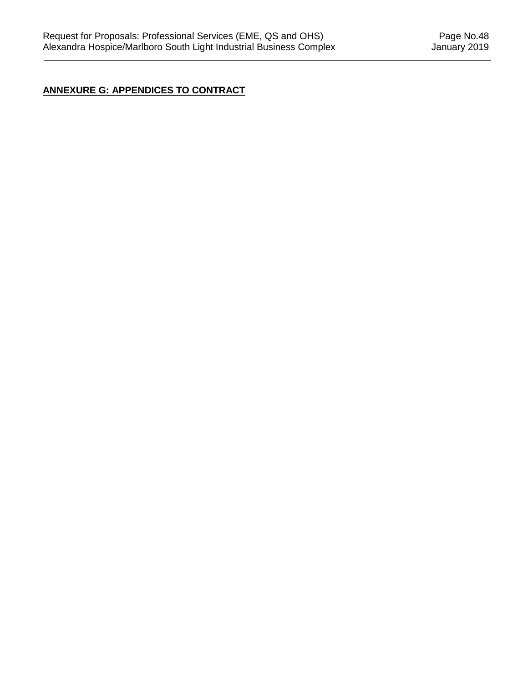# **ANNEXURE G: APPENDICES TO CONTRACT**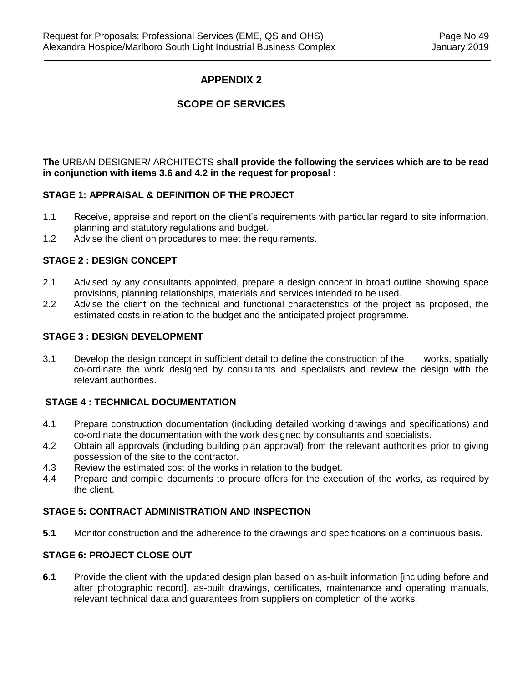# **APPENDIX 2**

# **SCOPE OF SERVICES**

**The** URBAN DESIGNER/ ARCHITECTS **shall provide the following the services which are to be read in conjunction with items 3.6 and 4.2 in the request for proposal :**

#### **STAGE 1: APPRAISAL & DEFINITION OF THE PROJECT**

- 1.1 Receive, appraise and report on the client's requirements with particular regard to site information, planning and statutory regulations and budget.
- 1.2 Advise the client on procedures to meet the requirements.

#### **STAGE 2 : DESIGN CONCEPT**

- 2.1 Advised by any consultants appointed, prepare a design concept in broad outline showing space provisions, planning relationships, materials and services intended to be used.
- 2.2 Advise the client on the technical and functional characteristics of the project as proposed, the estimated costs in relation to the budget and the anticipated project programme.

#### **STAGE 3 : DESIGN DEVELOPMENT**

3.1 Develop the design concept in sufficient detail to define the construction of the works, spatially co-ordinate the work designed by consultants and specialists and review the design with the relevant authorities.

#### **STAGE 4 : TECHNICAL DOCUMENTATION**

- 4.1 Prepare construction documentation (including detailed working drawings and specifications) and co-ordinate the documentation with the work designed by consultants and specialists.
- 4.2 Obtain all approvals (including building plan approval) from the relevant authorities prior to giving possession of the site to the contractor.
- 4.3 Review the estimated cost of the works in relation to the budget.
- 4.4 Prepare and compile documents to procure offers for the execution of the works, as required by the client.

#### **STAGE 5: CONTRACT ADMINISTRATION AND INSPECTION**

**5.1** Monitor construction and the adherence to the drawings and specifications on a continuous basis.

## **STAGE 6: PROJECT CLOSE OUT**

**6.1** Provide the client with the updated design plan based on as-built information [including before and after photographic record], as-built drawings, certificates, maintenance and operating manuals, relevant technical data and guarantees from suppliers on completion of the works.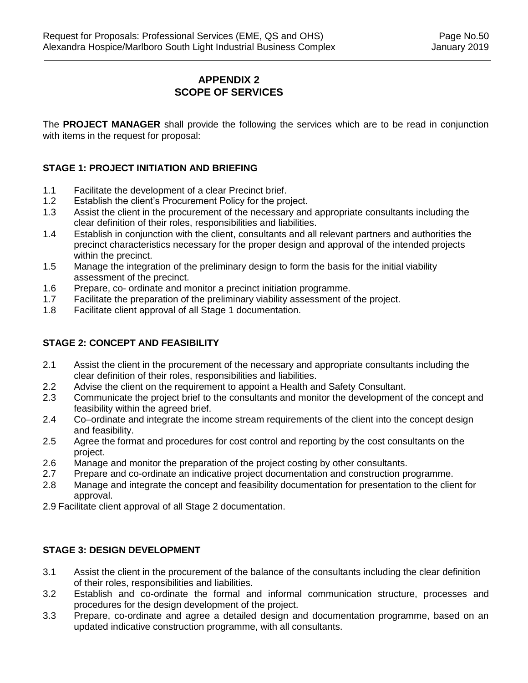# **APPENDIX 2 SCOPE OF SERVICES**

The **PROJECT MANAGER** shall provide the following the services which are to be read in conjunction with items in the request for proposal:

## **STAGE 1: PROJECT INITIATION AND BRIEFING**

- 1.1 Facilitate the development of a clear Precinct brief.
- 1.2 Establish the client's Procurement Policy for the project.
- 1.3 Assist the client in the procurement of the necessary and appropriate consultants including the clear definition of their roles, responsibilities and liabilities.
- 1.4 Establish in conjunction with the client, consultants and all relevant partners and authorities the precinct characteristics necessary for the proper design and approval of the intended projects within the precinct.
- 1.5 Manage the integration of the preliminary design to form the basis for the initial viability assessment of the precinct.
- 1.6 Prepare, co- ordinate and monitor a precinct initiation programme.
- 1.7 Facilitate the preparation of the preliminary viability assessment of the project.
- 1.8 Facilitate client approval of all Stage 1 documentation.

## **STAGE 2: CONCEPT AND FEASIBILITY**

- 2.1 Assist the client in the procurement of the necessary and appropriate consultants including the clear definition of their roles, responsibilities and liabilities.
- 2.2 Advise the client on the requirement to appoint a Health and Safety Consultant.
- 2.3 Communicate the project brief to the consultants and monitor the development of the concept and feasibility within the agreed brief.
- 2.4 Co–ordinate and integrate the income stream requirements of the client into the concept design and feasibility.
- 2.5 Agree the format and procedures for cost control and reporting by the cost consultants on the project.
- 2.6 Manage and monitor the preparation of the project costing by other consultants.
- 2.7 Prepare and co-ordinate an indicative project documentation and construction programme.
- 2.8 Manage and integrate the concept and feasibility documentation for presentation to the client for approval.
- 2.9 Facilitate client approval of all Stage 2 documentation.

### **STAGE 3: DESIGN DEVELOPMENT**

- 3.1 Assist the client in the procurement of the balance of the consultants including the clear definition of their roles, responsibilities and liabilities.
- 3.2 Establish and co-ordinate the formal and informal communication structure, processes and procedures for the design development of the project.
- 3.3 Prepare, co-ordinate and agree a detailed design and documentation programme, based on an updated indicative construction programme, with all consultants.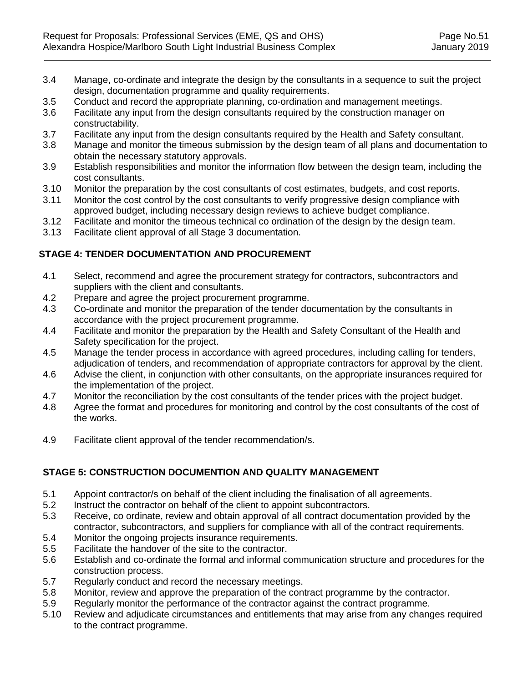- 3.4 Manage, co-ordinate and integrate the design by the consultants in a sequence to suit the project design, documentation programme and quality requirements.
- 3.5 Conduct and record the appropriate planning, co-ordination and management meetings.
- 3.6 Facilitate any input from the design consultants required by the construction manager on constructability.
- 3.7 Facilitate any input from the design consultants required by the Health and Safety consultant.
- 3.8 Manage and monitor the timeous submission by the design team of all plans and documentation to obtain the necessary statutory approvals.
- 3.9 Establish responsibilities and monitor the information flow between the design team, including the cost consultants.
- 3.10 Monitor the preparation by the cost consultants of cost estimates, budgets, and cost reports.
- 3.11 Monitor the cost control by the cost consultants to verify progressive design compliance with approved budget, including necessary design reviews to achieve budget compliance.
- 3.12 Facilitate and monitor the timeous technical co ordination of the design by the design team.
- 3.13 Facilitate client approval of all Stage 3 documentation.

# **STAGE 4: TENDER DOCUMENTATION AND PROCUREMENT**

- 4.1 Select, recommend and agree the procurement strategy for contractors, subcontractors and suppliers with the client and consultants.
- 4.2 Prepare and agree the project procurement programme.
- 4.3 Co-ordinate and monitor the preparation of the tender documentation by the consultants in accordance with the project procurement programme.
- 4.4 Facilitate and monitor the preparation by the Health and Safety Consultant of the Health and Safety specification for the project.
- 4.5 Manage the tender process in accordance with agreed procedures, including calling for tenders, adjudication of tenders, and recommendation of appropriate contractors for approval by the client.
- 4.6 Advise the client, in conjunction with other consultants, on the appropriate insurances required for the implementation of the project.
- 4.7 Monitor the reconciliation by the cost consultants of the tender prices with the project budget.
- 4.8 Agree the format and procedures for monitoring and control by the cost consultants of the cost of the works.
- 4.9 Facilitate client approval of the tender recommendation/s.

# **STAGE 5: CONSTRUCTION DOCUMENTION AND QUALITY MANAGEMENT**

- 5.1 Appoint contractor/s on behalf of the client including the finalisation of all agreements.
- 5.2 Instruct the contractor on behalf of the client to appoint subcontractors.
- 5.3 Receive, co ordinate, review and obtain approval of all contract documentation provided by the contractor, subcontractors, and suppliers for compliance with all of the contract requirements.
- 5.4 Monitor the ongoing projects insurance requirements.
- 5.5 Facilitate the handover of the site to the contractor.
- 5.6 Establish and co-ordinate the formal and informal communication structure and procedures for the construction process.
- 5.7 Regularly conduct and record the necessary meetings.
- 5.8 Monitor, review and approve the preparation of the contract programme by the contractor.
- 5.9 Regularly monitor the performance of the contractor against the contract programme.
- 5.10 Review and adjudicate circumstances and entitlements that may arise from any changes required to the contract programme.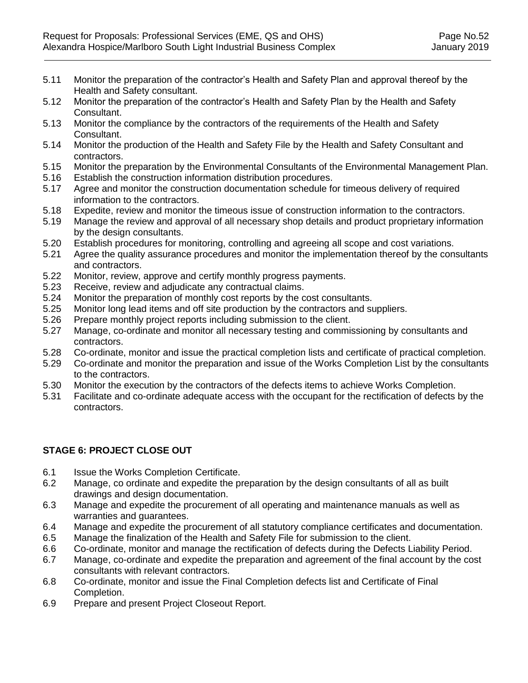- 5.11 Monitor the preparation of the contractor's Health and Safety Plan and approval thereof by the Health and Safety consultant.
- 5.12 Monitor the preparation of the contractor's Health and Safety Plan by the Health and Safety Consultant.
- 5.13 Monitor the compliance by the contractors of the requirements of the Health and Safety Consultant.
- 5.14 Monitor the production of the Health and Safety File by the Health and Safety Consultant and contractors.
- 5.15 Monitor the preparation by the Environmental Consultants of the Environmental Management Plan.
- 5.16 Establish the construction information distribution procedures.
- 5.17 Agree and monitor the construction documentation schedule for timeous delivery of required information to the contractors.
- 5.18 Expedite, review and monitor the timeous issue of construction information to the contractors.
- 5.19 Manage the review and approval of all necessary shop details and product proprietary information by the design consultants.
- 5.20 Establish procedures for monitoring, controlling and agreeing all scope and cost variations.
- 5.21 Agree the quality assurance procedures and monitor the implementation thereof by the consultants and contractors.
- 5.22 Monitor, review, approve and certify monthly progress payments.
- 5.23 Receive, review and adjudicate any contractual claims.
- 5.24 Monitor the preparation of monthly cost reports by the cost consultants.
- 5.25 Monitor long lead items and off site production by the contractors and suppliers.
- 5.26 Prepare monthly project reports including submission to the client.
- 5.27 Manage, co-ordinate and monitor all necessary testing and commissioning by consultants and contractors.
- 5.28 Co-ordinate, monitor and issue the practical completion lists and certificate of practical completion.
- 5.29 Co-ordinate and monitor the preparation and issue of the Works Completion List by the consultants to the contractors.
- 5.30 Monitor the execution by the contractors of the defects items to achieve Works Completion.
- 5.31 Facilitate and co-ordinate adequate access with the occupant for the rectification of defects by the contractors.

## **STAGE 6: PROJECT CLOSE OUT**

- 6.1 Issue the Works Completion Certificate.
- 6.2 Manage, co ordinate and expedite the preparation by the design consultants of all as built drawings and design documentation.
- 6.3 Manage and expedite the procurement of all operating and maintenance manuals as well as warranties and guarantees.
- 6.4 Manage and expedite the procurement of all statutory compliance certificates and documentation.
- 6.5 Manage the finalization of the Health and Safety File for submission to the client.
- 6.6 Co-ordinate, monitor and manage the rectification of defects during the Defects Liability Period.
- 6.7 Manage, co-ordinate and expedite the preparation and agreement of the final account by the cost consultants with relevant contractors.
- 6.8 Co-ordinate, monitor and issue the Final Completion defects list and Certificate of Final Completion.
- 6.9 Prepare and present Project Closeout Report.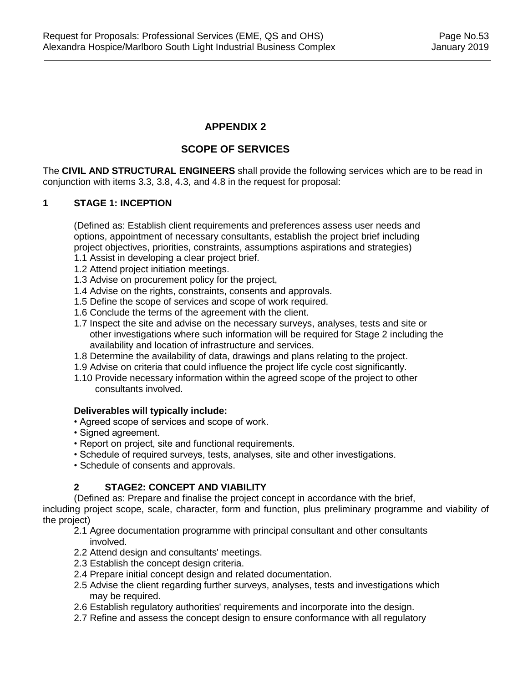# **APPENDIX 2**

# **SCOPE OF SERVICES**

The **CIVIL AND STRUCTURAL ENGINEERS** shall provide the following services which are to be read in conjunction with items 3.3, 3.8, 4.3, and 4.8 in the request for proposal:

## **1 STAGE 1: INCEPTION**

(Defined as: Establish client requirements and preferences assess user needs and options, appointment of necessary consultants, establish the project brief including project objectives, priorities, constraints, assumptions aspirations and strategies)

- 1.1 Assist in developing a clear project brief.
- 1.2 Attend project initiation meetings.
- 1.3 Advise on procurement policy for the project,
- 1.4 Advise on the rights, constraints, consents and approvals.
- 1.5 Define the scope of services and scope of work required.
- 1.6 Conclude the terms of the agreement with the client.
- 1.7 Inspect the site and advise on the necessary surveys, analyses, tests and site or other investigations where such information will be required for Stage 2 including the availability and location of infrastructure and services.
- 1.8 Determine the availability of data, drawings and plans relating to the project.
- 1.9 Advise on criteria that could influence the project life cycle cost significantly.
- 1.10 Provide necessary information within the agreed scope of the project to other consultants involved.

#### **Deliverables will typically include:**

- Agreed scope of services and scope of work.
- Signed agreement.
- Report on project, site and functional requirements.
- Schedule of required surveys, tests, analyses, site and other investigations.
- Schedule of consents and approvals.

#### **2 STAGE2: CONCEPT AND VIABILITY**

(Defined as: Prepare and finalise the project concept in accordance with the brief,

including project scope, scale, character, form and function, plus preliminary programme and viability of the project)

2.1 Agree documentation programme with principal consultant and other consultants involved.

- 2.2 Attend design and consultants' meetings.
- 2.3 Establish the concept design criteria.
- 2.4 Prepare initial concept design and related documentation.
- 2.5 Advise the client regarding further surveys, analyses, tests and investigations which may be required.
- 2.6 Establish regulatory authorities' requirements and incorporate into the design.
- 2.7 Refine and assess the concept design to ensure conformance with all regulatory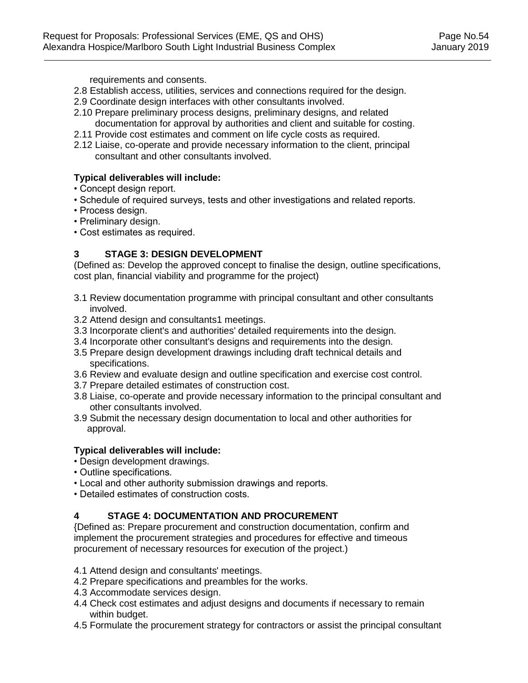requirements and consents.

- 2.8 Establish access, utilities, services and connections required for the design.
- 2.9 Coordinate design interfaces with other consultants involved.
- 2.10 Prepare preliminary process designs, preliminary designs, and related documentation for approval by authorities and client and suitable for costing.
- 2.11 Provide cost estimates and comment on life cycle costs as required.
- 2.12 Liaise, co-operate and provide necessary information to the client, principal consultant and other consultants involved.

## **Typical deliverables will include:**

- Concept design report.
- Schedule of required surveys, tests and other investigations and related reports.
- Process design.
- Preliminary design.
- Cost estimates as required.

# **3 STAGE 3: DESIGN DEVELOPMENT**

(Defined as: Develop the approved concept to finalise the design, outline specifications, cost plan, financial viability and programme for the project)

- 3.1 Review documentation programme with principal consultant and other consultants involved.
- 3.2 Attend design and consultants1 meetings.
- 3.3 Incorporate client's and authorities' detailed requirements into the design.
- 3.4 Incorporate other consultant's designs and requirements into the design.
- 3.5 Prepare design development drawings including draft technical details and specifications.
- 3.6 Review and evaluate design and outline specification and exercise cost control.
- 3.7 Prepare detailed estimates of construction cost.
- 3.8 Liaise, co-operate and provide necessary information to the principal consultant and other consultants involved.
- 3.9 Submit the necessary design documentation to local and other authorities for approval.

## **Typical deliverables will include:**

- Design development drawings.
- Outline specifications.
- Local and other authority submission drawings and reports.
- Detailed estimates of construction costs.

## **4 STAGE 4: DOCUMENTATION AND PROCUREMENT**

{Defined as: Prepare procurement and construction documentation, confirm and implement the procurement strategies and procedures for effective and timeous procurement of necessary resources for execution of the project.)

- 4.1 Attend design and consultants' meetings.
- 4.2 Prepare specifications and preambles for the works.
- 4.3 Accommodate services design.
- 4.4 Check cost estimates and adjust designs and documents if necessary to remain within budget.
- 4.5 Formulate the procurement strategy for contractors or assist the principal consultant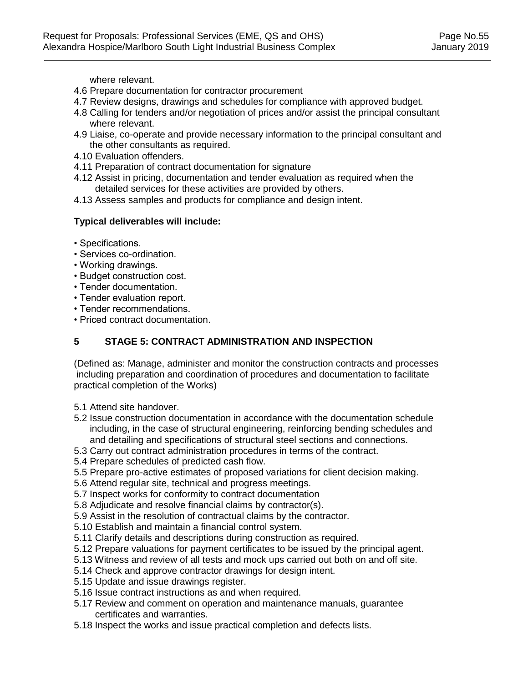where relevant.

- 4.6 Prepare documentation for contractor procurement
- 4.7 Review designs, drawings and schedules for compliance with approved budget.
- 4.8 Calling for tenders and/or negotiation of prices and/or assist the principal consultant where relevant.
- 4.9 Liaise, co-operate and provide necessary information to the principal consultant and the other consultants as required.
- 4.10 Evaluation offenders.
- 4.11 Preparation of contract documentation for signature
- 4.12 Assist in pricing, documentation and tender evaluation as required when the detailed services for these activities are provided by others.
- 4.13 Assess samples and products for compliance and design intent.

#### **Typical deliverables will include:**

- Specifications.
- Services co-ordination.
- Working drawings.
- Budget construction cost.
- Tender documentation.
- Tender evaluation report.
- Tender recommendations.
- Priced contract documentation.

## **5 STAGE 5: CONTRACT ADMINISTRATION AND INSPECTION**

(Defined as: Manage, administer and monitor the construction contracts and processes including preparation and coordination of procedures and documentation to facilitate practical completion of the Works)

- 5.1 Attend site handover.
- 5.2 Issue construction documentation in accordance with the documentation schedule including, in the case of structural engineering, reinforcing bending schedules and and detailing and specifications of structural steel sections and connections.
- 5.3 Carry out contract administration procedures in terms of the contract.
- 5.4 Prepare schedules of predicted cash flow.
- 5.5 Prepare pro-active estimates of proposed variations for client decision making.
- 5.6 Attend regular site, technical and progress meetings.
- 5.7 Inspect works for conformity to contract documentation
- 5.8 Adjudicate and resolve financial claims by contractor(s).
- 5.9 Assist in the resolution of contractual claims by the contractor.
- 5.10 Establish and maintain a financial control system.
- 5.11 Clarify details and descriptions during construction as required.
- 5.12 Prepare valuations for payment certificates to be issued by the principal agent.
- 5.13 Witness and review of all tests and mock ups carried out both on and off site.
- 5.14 Check and approve contractor drawings for design intent.
- 5.15 Update and issue drawings register.
- 5.16 Issue contract instructions as and when required.
- 5.17 Review and comment on operation and maintenance manuals, guarantee certificates and warranties.
- 5.18 Inspect the works and issue practical completion and defects lists.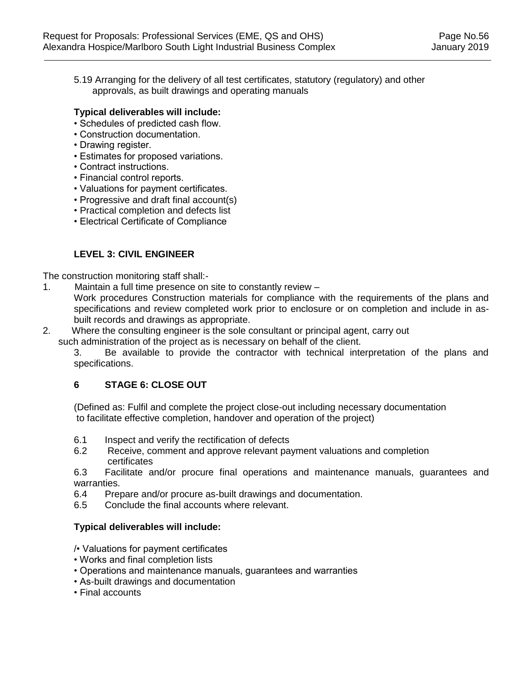5.19 Arranging for the delivery of all test certificates, statutory (regulatory) and other approvals, as built drawings and operating manuals

#### **Typical deliverables will include:**

- Schedules of predicted cash flow.
- Construction documentation.
- Drawing register.
- Estimates for proposed variations.
- Contract instructions.
- Financial control reports.
- Valuations for payment certificates.
- Progressive and draft final account(s)
- Practical completion and defects list
- Electrical Certificate of Compliance

## **LEVEL 3: CIVIL ENGINEER**

The construction monitoring staff shall:-

- 1. Maintain a full time presence on site to constantly review
	- Work procedures Construction materials for compliance with the requirements of the plans and specifications and review completed work prior to enclosure or on completion and include in asbuilt records and drawings as appropriate.
- 2. Where the consulting engineer is the sole consultant or principal agent, carry out
	- such administration of the project as is necessary on behalf of the client.

3. Be available to provide the contractor with technical interpretation of the plans and specifications.

#### **6 STAGE 6: CLOSE OUT**

(Defined as: Fulfil and complete the project close-out including necessary documentation to facilitate effective completion, handover and operation of the project)

- 6.1 Inspect and verify the rectification of defects
- 6.2 Receive, comment and approve relevant payment valuations and completion certificates

6.3 Facilitate and/or procure final operations and maintenance manuals, guarantees and warranties.

- 6.4 Prepare and/or procure as-built drawings and documentation.
- 6.5 Conclude the final accounts where relevant.

#### **Typical deliverables will include:**

- /• Valuations for payment certificates
- Works and final completion lists
- Operations and maintenance manuals, guarantees and warranties
- As-built drawings and documentation
- Final accounts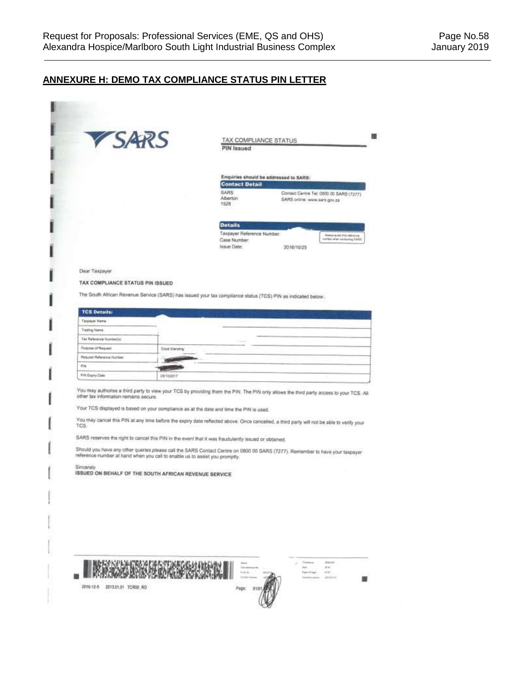# **ANNEXURE H: DEMO TAX COMPLIANCE STATUS PIN LETTER**

| VSARS                                                      |                                                                             | TAX COMPLIANCE STATUS<br>PIN Issued                                                                                                                                                             |                                                                                                                                                                                                                                                                           |
|------------------------------------------------------------|-----------------------------------------------------------------------------|-------------------------------------------------------------------------------------------------------------------------------------------------------------------------------------------------|---------------------------------------------------------------------------------------------------------------------------------------------------------------------------------------------------------------------------------------------------------------------------|
|                                                            |                                                                             | Enquiries should be addressed to SARS:<br><b>Contact Detail</b><br><b>SARS</b>                                                                                                                  |                                                                                                                                                                                                                                                                           |
|                                                            |                                                                             | Alberton.<br>1528                                                                                                                                                                               | Contact Centre Tel: 0800 00 SARS (7277)<br>SARS online: www.sars.gov.za                                                                                                                                                                                                   |
|                                                            |                                                                             | <b>Details</b><br>Taxpayer Reference Number.<br>Case Number:<br>Issue Date:                                                                                                                     | Always proto this retarence<br>turner when contexting SARS<br>2016/10/25                                                                                                                                                                                                  |
| Dear Taxpayer<br>TAX COMPLIANCE STATUS PIN ISSUED          |                                                                             |                                                                                                                                                                                                 |                                                                                                                                                                                                                                                                           |
|                                                            |                                                                             | The South African Revenue Service (SARS) has issued your tax compliance status (TCS) PIN as indicated below.                                                                                    |                                                                                                                                                                                                                                                                           |
| <b>TCS Details:</b>                                        |                                                                             |                                                                                                                                                                                                 |                                                                                                                                                                                                                                                                           |
| Taxpaye/ Name                                              |                                                                             |                                                                                                                                                                                                 |                                                                                                                                                                                                                                                                           |
| <b>Trading Name</b>                                        |                                                                             |                                                                                                                                                                                                 |                                                                                                                                                                                                                                                                           |
| Tae Haferenza Isumbacio)                                   |                                                                             |                                                                                                                                                                                                 |                                                                                                                                                                                                                                                                           |
| Future of Request                                          | <b>Good Standing</b>                                                        |                                                                                                                                                                                                 |                                                                                                                                                                                                                                                                           |
| Resume Reference Number                                    |                                                                             |                                                                                                                                                                                                 |                                                                                                                                                                                                                                                                           |
| Pilk                                                       |                                                                             |                                                                                                                                                                                                 |                                                                                                                                                                                                                                                                           |
| FIN Expry Date                                             | 35/10/2017                                                                  |                                                                                                                                                                                                 |                                                                                                                                                                                                                                                                           |
| other tax information remains secure.<br>TCS.<br>Sincerely | reference number at hand when you call to enable us to assist you promptly. | Your TCS displayed is based on your compliance as at the date and time the PIN is used.<br>SARS reserves the right to cancel this PIN in the event that it was fraudulently issued or obtained. | You may cancel this PIN at any time before the expiry date reflected above. Once cancelled, a third party will not be able to verify your<br>Should you have any other queries please call the SARS Contact Centre on 0800.00 SARS (7277). Remember to have your taxpayer |
|                                                            | ISSUED ON BEHALF OF THE SOUTH AFRICAN REVENUE SERVICE.                      |                                                                                                                                                                                                 |                                                                                                                                                                                                                                                                           |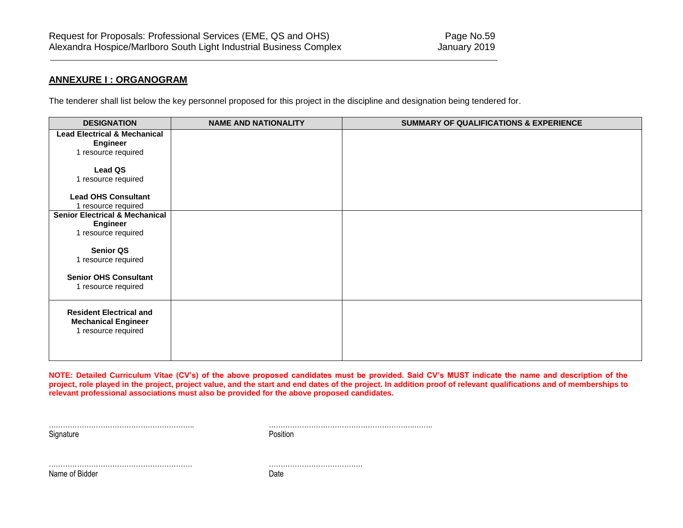## **ANNEXURE I : ORGANOGRAM**

The tenderer shall list below the key personnel proposed for this project in the discipline and designation being tendered for.

| <b>DESIGNATION</b>                        | <b>NAME AND NATIONALITY</b> | <b>SUMMARY OF QUALIFICATIONS &amp; EXPERIENCE</b> |
|-------------------------------------------|-----------------------------|---------------------------------------------------|
| <b>Lead Electrical &amp; Mechanical</b>   |                             |                                                   |
| <b>Engineer</b>                           |                             |                                                   |
| 1 resource required                       |                             |                                                   |
|                                           |                             |                                                   |
| Lead QS                                   |                             |                                                   |
| 1 resource required                       |                             |                                                   |
| <b>Lead OHS Consultant</b>                |                             |                                                   |
| 1 resource required                       |                             |                                                   |
| <b>Senior Electrical &amp; Mechanical</b> |                             |                                                   |
| Engineer                                  |                             |                                                   |
| 1 resource required                       |                             |                                                   |
|                                           |                             |                                                   |
| <b>Senior QS</b>                          |                             |                                                   |
| 1 resource required                       |                             |                                                   |
|                                           |                             |                                                   |
| <b>Senior OHS Consultant</b>              |                             |                                                   |
| 1 resource required                       |                             |                                                   |
|                                           |                             |                                                   |
| <b>Resident Electrical and</b>            |                             |                                                   |
| <b>Mechanical Engineer</b>                |                             |                                                   |
| 1 resource required                       |                             |                                                   |
|                                           |                             |                                                   |
|                                           |                             |                                                   |
|                                           |                             |                                                   |

**NOTE: Detailed Curriculum Vitae (CV's) of the above proposed candidates must be provided. Said CV's MUST indicate the name and description of the project, role played in the project, project value, and the start and end dates of the project. In addition proof of relevant qualifications and of memberships to relevant professional associations must also be provided for the above proposed candidates.**

Signature **Position** 

…………………………………………………….. ……………………………………………………..……..

……………………………………………………. ………………………………….

Name of Bidder Date Date Name of Bidder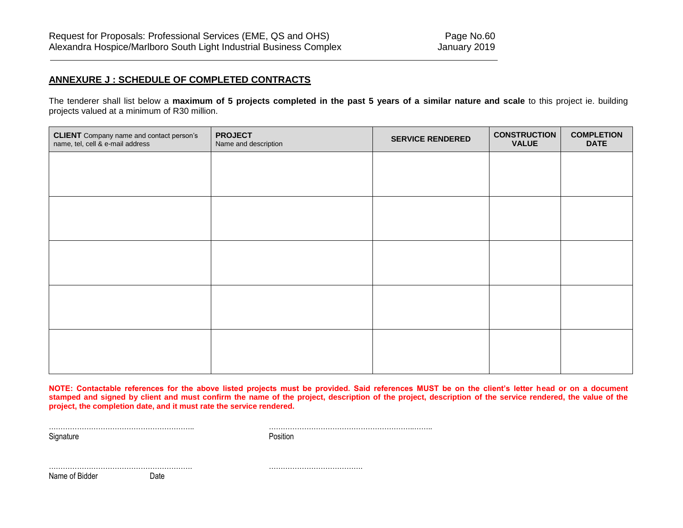# **ANNEXURE J : SCHEDULE OF COMPLETED CONTRACTS**

The tenderer shall list below a **maximum of 5 projects completed in the past 5 years of a similar nature and scale** to this project ie. building projects valued at a minimum of R30 million.

| <b>CLIENT</b> Company name and contact person's<br>name, tel, cell & e-mail address | <b>PROJECT</b><br>Name and description | <b>SERVICE RENDERED</b> | <b>CONSTRUCTION</b><br><b>VALUE</b> | <b>COMPLETION</b><br><b>DATE</b> |
|-------------------------------------------------------------------------------------|----------------------------------------|-------------------------|-------------------------------------|----------------------------------|
|                                                                                     |                                        |                         |                                     |                                  |
|                                                                                     |                                        |                         |                                     |                                  |
|                                                                                     |                                        |                         |                                     |                                  |
|                                                                                     |                                        |                         |                                     |                                  |
|                                                                                     |                                        |                         |                                     |                                  |
|                                                                                     |                                        |                         |                                     |                                  |
|                                                                                     |                                        |                         |                                     |                                  |
|                                                                                     |                                        |                         |                                     |                                  |
|                                                                                     |                                        |                         |                                     |                                  |
|                                                                                     |                                        |                         |                                     |                                  |

**NOTE: Contactable references for the above listed projects must be provided. Said references MUST be on the client's letter head or on a document stamped and signed by client and must confirm the name of the project, description of the project, description of the service rendered, the value of the project, the completion date, and it must rate the service rendered.** 

Signature **Position** 

…………………………………………………….. ……………………………………………………..……..

Name of Bidder Date

……………………………………………………. ………………………………….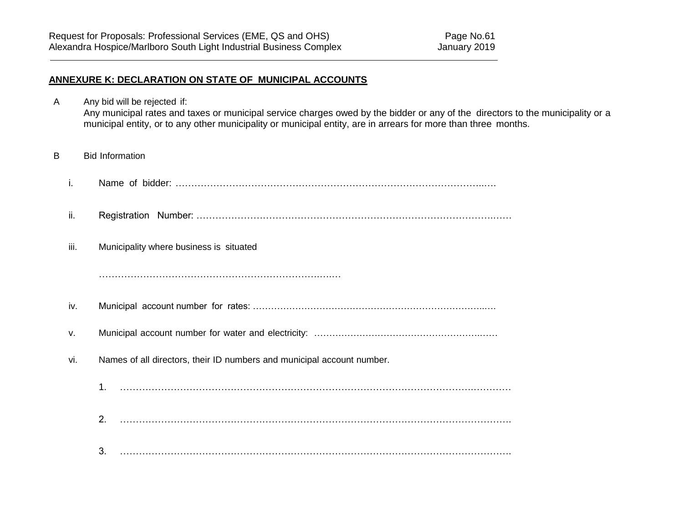## **ANNEXURE K: DECLARATION ON STATE OF MUNICIPAL ACCOUNTS**

- A Any bid will be rejected if: Any municipal rates and taxes or municipal service charges owed by the bidder or any of the directors to the municipality or a municipal entity, or to any other municipality or municipal entity, are in arrears for more than three months.
- B Bid Information
	- i. Name of bidder: ……………………………………………………………………………………..….
	- ii. Registration Number: ………………………………………………………………………………….……
	- iii. Municipality where business is situated

…………………………………………………………….….…

- iv. Municipal account number for rates: …………………………………………………………………..….
- v. Municipal account number for water and electricity: ……………………………………………….……
- vi. Names of all directors, their ID numbers and municipal account number.
	- 1. ………………………………………………………………………………………………….…………
	- 2. …………………………………………………………………………………………………………….
	- 3. …………………………………………………………………………………………………………….